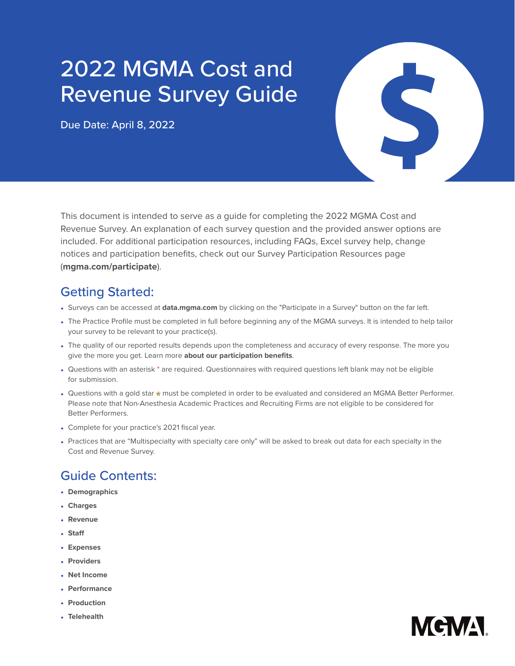## 2022 MGMA Cost and Revenue Survey Guide

Due Date: April 8, 2022

S

This document is intended to serve as a guide for completing the 2022 MGMA Cost and Revenue Survey. An explanation of each survey question and the provided answer options are included. For additional participation resources, including FAQs, Excel survey help, change notices and participation benefits, check out our Survey Participation Resources page (**[mgma.com/participate](http://mgma.com/participate)**).

## Getting Started:

- Surveys can be accessed at **[data.mgma.com](https://data.mgma.com)** by clicking on the "Participate in a Survey" button on the far left.
- The Practice Profile must be completed in full before beginning any of the MGMA surveys. It is intended to help tailor your survey to be relevant to your practice(s).
- The quality of our reported results depends upon the completeness and accuracy of every response. The more you give the more you get. Learn more **[about our participation benefits](https://www.mgma.com/data/landing-pages/mgma-datadive-and-survey-participation-benefits)**.
- Questions with an asterisk \* are required. Questionnaires with required questions left blank may not be eligible for submission.
- Questions with a gold star \* must be completed in order to be evaluated and considered an MGMA Better Performer. Please note that Non-Anesthesia Academic Practices and Recruiting Firms are not eligible to be considered for Better Performers.
- Complete for your practice's 2021 fiscal year.
- Practices that are "Multispecialty with specialty care only" will be asked to break out data for each specialty in the Cost and Revenue Survey.

## Guide Contents:

- **Demographics**
- **[Charges](#page-4-0)**
- **[Revenue](#page-7-0)**
- **[Staff](#page-13-0)**
- **[Expenses](#page-23-0)**
- **[Providers](#page-31-0)**
- **[Net Income](#page-38-0)**
- **[Performance](#page-38-1)**
- **[Production](#page-44-0)**
- **[Telehealth](#page-56-0)**

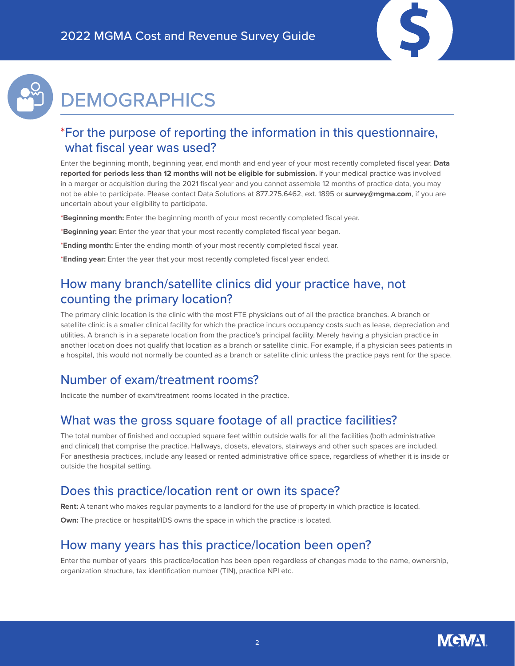

## **DEMOGRAPHICS**

### \*For the purpose of reporting the information in this questionnaire, what fiscal year was used?

Enter the beginning month, beginning year, end month and end year of your most recently completed fiscal year. **Data reported for periods less than 12 months will not be eligible for submission.** If your medical practice was involved in a merger or acquisition during the 2021 fiscal year and you cannot assemble 12 months of practice data, you may not be able to participate. Please contact Data Solutions at 877.275.6462, ext. 1895 or **[survey@mgma.com](mailto:survey%40mgma.com?subject=)**, if you are uncertain about your eligibility to participate.

\***Beginning month:** Enter the beginning month of your most recently completed fiscal year.

- \***Beginning year:** Enter the year that your most recently completed fiscal year began.
- \***Ending month:** Enter the ending month of your most recently completed fiscal year.
- \***Ending year:** Enter the year that your most recently completed fiscal year ended.

### How many branch/satellite clinics did your practice have, not counting the primary location?

The primary clinic location is the clinic with the most FTE physicians out of all the practice branches. A branch or satellite clinic is a smaller clinical facility for which the practice incurs occupancy costs such as lease, depreciation and utilities. A branch is in a separate location from the practice's principal facility. Merely having a physician practice in another location does not qualify that location as a branch or satellite clinic. For example, if a physician sees patients in a hospital, this would not normally be counted as a branch or satellite clinic unless the practice pays rent for the space.

### Number of exam/treatment rooms?

Indicate the number of exam/treatment rooms located in the practice.

### What was the gross square footage of all practice facilities?

The total number of finished and occupied square feet within outside walls for all the facilities (both administrative and clinical) that comprise the practice. Hallways, closets, elevators, stairways and other such spaces are included. For anesthesia practices, include any leased or rented administrative office space, regardless of whether it is inside or outside the hospital setting.

### Does this practice/location rent or own its space?

**Rent:** A tenant who makes regular payments to a landlord for the use of property in which practice is located.

**Own:** The practice or hospital/IDS owns the space in which the practice is located.

### How many years has this practice/location been open?

Enter the number of years this practice/location has been open regardless of changes made to the name, ownership, organization structure, tax identification number (TIN), practice NPI etc.

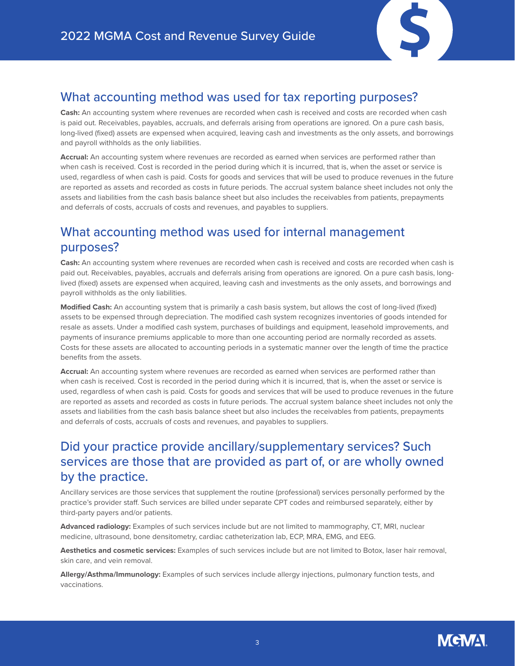

### What accounting method was used for tax reporting purposes?

**Cash:** An accounting system where revenues are recorded when cash is received and costs are recorded when cash is paid out. Receivables, payables, accruals, and deferrals arising from operations are ignored. On a pure cash basis, long-lived (fixed) assets are expensed when acquired, leaving cash and investments as the only assets, and borrowings and payroll withholds as the only liabilities.

**Accrual:** An accounting system where revenues are recorded as earned when services are performed rather than when cash is received. Cost is recorded in the period during which it is incurred, that is, when the asset or service is used, regardless of when cash is paid. Costs for goods and services that will be used to produce revenues in the future are reported as assets and recorded as costs in future periods. The accrual system balance sheet includes not only the assets and liabilities from the cash basis balance sheet but also includes the receivables from patients, prepayments and deferrals of costs, accruals of costs and revenues, and payables to suppliers.

### What accounting method was used for internal management purposes?

**Cash:** An accounting system where revenues are recorded when cash is received and costs are recorded when cash is paid out. Receivables, payables, accruals and deferrals arising from operations are ignored. On a pure cash basis, longlived (fixed) assets are expensed when acquired, leaving cash and investments as the only assets, and borrowings and payroll withholds as the only liabilities.

**Modified Cash:** An accounting system that is primarily a cash basis system, but allows the cost of long-lived (fixed) assets to be expensed through depreciation. The modified cash system recognizes inventories of goods intended for resale as assets. Under a modified cash system, purchases of buildings and equipment, leasehold improvements, and payments of insurance premiums applicable to more than one accounting period are normally recorded as assets. Costs for these assets are allocated to accounting periods in a systematic manner over the length of time the practice benefits from the assets.

**Accrual:** An accounting system where revenues are recorded as earned when services are performed rather than when cash is received. Cost is recorded in the period during which it is incurred, that is, when the asset or service is used, regardless of when cash is paid. Costs for goods and services that will be used to produce revenues in the future are reported as assets and recorded as costs in future periods. The accrual system balance sheet includes not only the assets and liabilities from the cash basis balance sheet but also includes the receivables from patients, prepayments and deferrals of costs, accruals of costs and revenues, and payables to suppliers.

### Did your practice provide ancillary/supplementary services? Such services are those that are provided as part of, or are wholly owned by the practice.

Ancillary services are those services that supplement the routine (professional) services personally performed by the practice's provider staff. Such services are billed under separate CPT codes and reimbursed separately, either by third-party payers and/or patients.

**Advanced radiology:** Examples of such services include but are not limited to mammography, CT, MRI, nuclear medicine, ultrasound, bone densitometry, cardiac catheterization lab, ECP, MRA, EMG, and EEG.

**Aesthetics and cosmetic services:** Examples of such services include but are not limited to Botox, laser hair removal, skin care, and vein removal.

**Allergy/Asthma/Immunology:** Examples of such services include allergy injections, pulmonary function tests, and vaccinations.

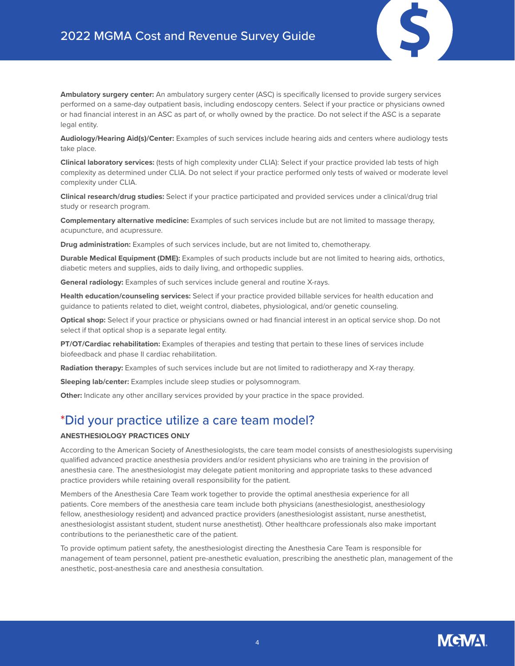

**Ambulatory surgery center:** An ambulatory surgery center (ASC) is specifically licensed to provide surgery services performed on a same-day outpatient basis, including endoscopy centers. Select if your practice or physicians owned or had financial interest in an ASC as part of, or wholly owned by the practice. Do not select if the ASC is a separate legal entity.

**Audiology/Hearing Aid(s)/Center:** Examples of such services include hearing aids and centers where audiology tests take place.

**Clinical laboratory services:** (tests of high complexity under CLIA): Select if your practice provided lab tests of high complexity as determined under CLIA. Do not select if your practice performed only tests of waived or moderate level complexity under CLIA.

**Clinical research/drug studies:** Select if your practice participated and provided services under a clinical/drug trial study or research program.

**Complementary alternative medicine:** Examples of such services include but are not limited to massage therapy, acupuncture, and acupressure.

**Drug administration:** Examples of such services include, but are not limited to, chemotherapy.

**Durable Medical Equipment (DME):** Examples of such products include but are not limited to hearing aids, orthotics, diabetic meters and supplies, aids to daily living, and orthopedic supplies.

**General radiology:** Examples of such services include general and routine X-rays.

**Health education/counseling services:** Select if your practice provided billable services for health education and guidance to patients related to diet, weight control, diabetes, physiological, and/or genetic counseling.

**Optical shop:** Select if your practice or physicians owned or had financial interest in an optical service shop. Do not select if that optical shop is a separate legal entity.

**PT/OT/Cardiac rehabilitation:** Examples of therapies and testing that pertain to these lines of services include biofeedback and phase II cardiac rehabilitation.

**Radiation therapy:** Examples of such services include but are not limited to radiotherapy and X-ray therapy.

**Sleeping lab/center:** Examples include sleep studies or polysomnogram.

**Other:** Indicate any other ancillary services provided by your practice in the space provided.

### \*Did your practice utilize a care team model?

### **ANESTHESIOLOGY PRACTICES ONLY**

According to the American Society of Anesthesiologists, the care team model consists of anesthesiologists supervising qualified advanced practice anesthesia providers and/or resident physicians who are training in the provision of anesthesia care. The anesthesiologist may delegate patient monitoring and appropriate tasks to these advanced practice providers while retaining overall responsibility for the patient.

Members of the Anesthesia Care Team work together to provide the optimal anesthesia experience for all patients. Core members of the anesthesia care team include both physicians (anesthesiologist, anesthesiology fellow, anesthesiology resident) and advanced practice providers (anesthesiologist assistant, nurse anesthetist, anesthesiologist assistant student, student nurse anesthetist). Other healthcare professionals also make important contributions to the perianesthetic care of the patient.

To provide optimum patient safety, the anesthesiologist directing the Anesthesia Care Team is responsible for management of team personnel, patient pre-anesthetic evaluation, prescribing the anesthetic plan, management of the anesthetic, post-anesthesia care and anesthesia consultation.

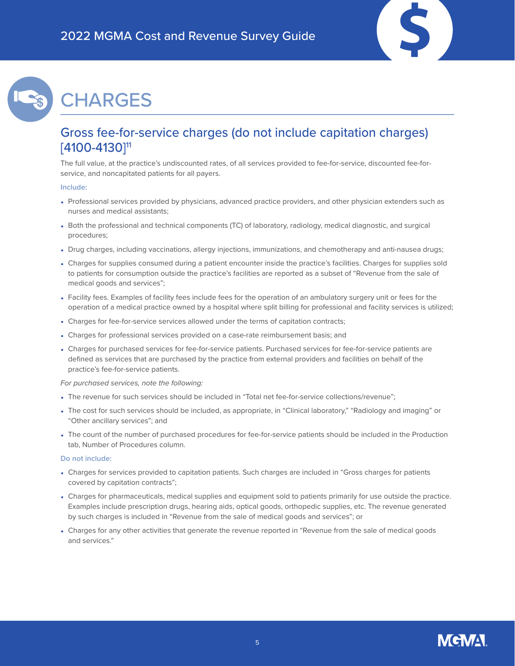

## <span id="page-4-0"></span>**CHARGES**

### Gross fee-for-service charges (do not include capitation charges) [4100-4130]<sup>11</sup>

The full value, at the practice's undiscounted rates, of all services provided to fee-for-service, discounted fee-forservice, and noncapitated patients for all payers.

#### **Include:**

- Professional services provided by physicians, advanced practice providers, and other physician extenders such as nurses and medical assistants;
- Both the professional and technical components (TC) of laboratory, radiology, medical diagnostic, and surgical procedures;
- Drug charges, including vaccinations, allergy injections, immunizations, and chemotherapy and anti-nausea drugs;
- Charges for supplies consumed during a patient encounter inside the practice's facilities. Charges for supplies sold to patients for consumption outside the practice's facilities are reported as a subset of "Revenue from the sale of medical goods and services";
- Facility fees. Examples of facility fees include fees for the operation of an ambulatory surgery unit or fees for the operation of a medical practice owned by a hospital where split billing for professional and facility services is utilized;
- Charges for fee-for-service services allowed under the terms of capitation contracts;
- Charges for professional services provided on a case-rate reimbursement basis; and
- Charges for purchased services for fee-for-service patients. Purchased services for fee-for-service patients are defined as services that are purchased by the practice from external providers and facilities on behalf of the practice's fee-for-service patients.

*For purchased services, note the following:*

- The revenue for such services should be included in "Total net fee-for-service collections/revenue";
- The cost for such services should be included, as appropriate, in "Clinical laboratory," "Radiology and imaging" or "Other ancillary services"; and
- The count of the number of purchased procedures for fee-for-service patients should be included in the Production tab, Number of Procedures column.

- Charges for services provided to capitation patients. Such charges are included in "Gross charges for patients covered by capitation contracts";
- Charges for pharmaceuticals, medical supplies and equipment sold to patients primarily for use outside the practice. Examples include prescription drugs, hearing aids, optical goods, orthopedic supplies, etc. The revenue generated by such charges is included in "Revenue from the sale of medical goods and services"; or
- Charges for any other activities that generate the revenue reported in "Revenue from the sale of medical goods and services."

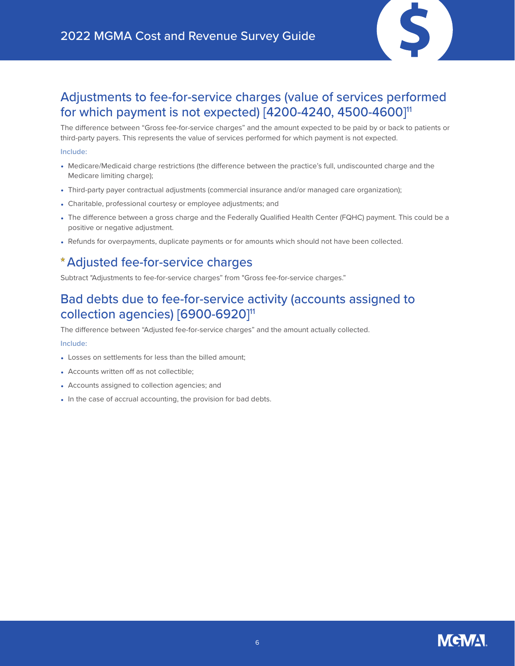

### Adjustments to fee-for-service charges (value of services performed for which payment is not expected) [4200-4240, 4500-4600]<sup>11</sup>

The difference between "Gross fee-for-service charges" and the amount expected to be paid by or back to patients or third-party payers. This represents the value of services performed for which payment is not expected.

#### **Include:**

- Medicare/Medicaid charge restrictions (the difference between the practice's full, undiscounted charge and the Medicare limiting charge);
- Third-party payer contractual adjustments (commercial insurance and/or managed care organization);
- Charitable, professional courtesy or employee adjustments; and
- The difference between a gross charge and the Federally Qualified Health Center (FQHC) payment. This could be a positive or negative adjustment.
- Refunds for overpayments, duplicate payments or for amounts which should not have been collected.

### Adjusted fee-for-service charges

Subtract "Adjustments to fee-for-service charges" from "Gross fee-for-service charges."

### Bad debts due to fee-for-service activity (accounts assigned to collection agencies) [6900-6920]<sup>11</sup>

The difference between "Adjusted fee-for-service charges" and the amount actually collected.

### **Include:**

- Losses on settlements for less than the billed amount;
- Accounts written off as not collectible;
- Accounts assigned to collection agencies; and
- In the case of accrual accounting, the provision for bad debts.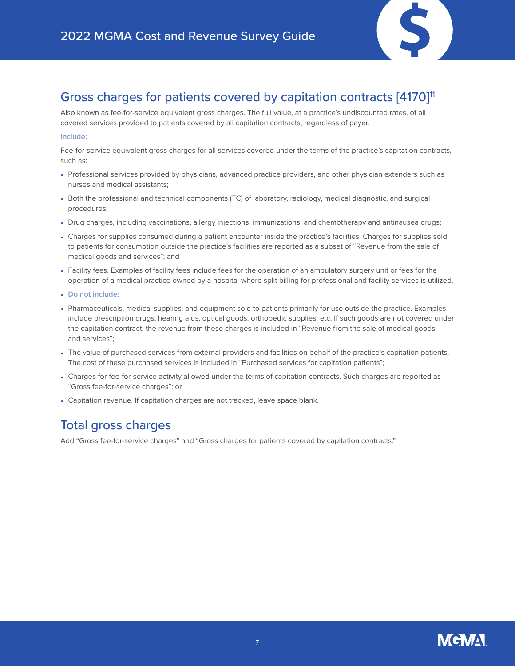

### Gross charges for patients covered by capitation contracts [4170]<sup>11</sup>

Also known as fee-for-service equivalent gross charges. The full value, at a practice's undiscounted rates, of all covered services provided to patients covered by all capitation contracts, regardless of payer.

### **Include:**

Fee-for-service equivalent gross charges for all services covered under the terms of the practice's capitation contracts, such as:

- Professional services provided by physicians, advanced practice providers, and other physician extenders such as nurses and medical assistants;
- Both the professional and technical components (TC) of laboratory, radiology, medical diagnostic, and surgical procedures;
- Drug charges, including vaccinations, allergy injections, immunizations, and chemotherapy and antinausea drugs;
- Charges for supplies consumed during a patient encounter inside the practice's facilities. Charges for supplies sold to patients for consumption outside the practice's facilities are reported as a subset of "Revenue from the sale of medical goods and services"; and
- Facility fees. Examples of facility fees include fees for the operation of an ambulatory surgery unit or fees for the operation of a medical practice owned by a hospital where split billing for professional and facility services is utilized.
- **Do not include:**
- Pharmaceuticals, medical supplies, and equipment sold to patients primarily for use outside the practice. Examples include prescription drugs, hearing aids, optical goods, orthopedic supplies, etc. If such goods are not covered under the capitation contract, the revenue from these charges is included in "Revenue from the sale of medical goods and services";
- The value of purchased services from external providers and facilities on behalf of the practice's capitation patients. The cost of these purchased services is included in "Purchased services for capitation patients";
- Charges for fee-for-service activity allowed under the terms of capitation contracts. Such charges are reported as "Gross fee-for-service charges"; or
- Capitation revenue. If capitation charges are not tracked, leave space blank.

### Total gross charges

Add "Gross fee-for-service charges" and "Gross charges for patients covered by capitation contracts."

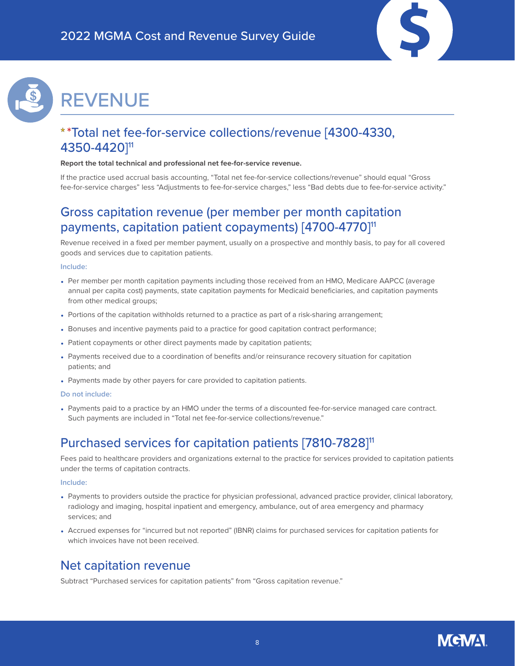

# <span id="page-7-0"></span>REVENUE

### \*Total net fee-for-service collections/revenue [4300-4330, 4350-4420]11

#### **Report the total technical and professional net fee-for-service revenue.**

If the practice used accrual basis accounting, "Total net fee-for-service collections/revenue" should equal "Gross fee-for-service charges" less "Adjustments to fee-for-service charges," less "Bad debts due to fee-for-service activity."

### Gross capitation revenue (per member per month capitation payments, capitation patient copayments) [4700-4770]11

Revenue received in a fixed per member payment, usually on a prospective and monthly basis, to pay for all covered goods and services due to capitation patients.

#### **Include:**

- Per member per month capitation payments including those received from an HMO, Medicare AAPCC (average annual per capita cost) payments, state capitation payments for Medicaid beneficiaries, and capitation payments from other medical groups;
- Portions of the capitation withholds returned to a practice as part of a risk-sharing arrangement;
- Bonuses and incentive payments paid to a practice for good capitation contract performance;
- Patient copayments or other direct payments made by capitation patients;
- Payments received due to a coordination of benefits and/or reinsurance recovery situation for capitation patients; and
- Payments made by other payers for care provided to capitation patients.

### **Do not include:**

• Payments paid to a practice by an HMO under the terms of a discounted fee-for-service managed care contract. Such payments are included in "Total net fee-for-service collections/revenue."

### Purchased services for capitation patients [7810-7828]<sup>11</sup>

Fees paid to healthcare providers and organizations external to the practice for services provided to capitation patients under the terms of capitation contracts.

#### **Include:**

- Payments to providers outside the practice for physician professional, advanced practice provider, clinical laboratory, radiology and imaging, hospital inpatient and emergency, ambulance, out of area emergency and pharmacy services; and
- Accrued expenses for "incurred but not reported" (IBNR) claims for purchased services for capitation patients for which invoices have not been received.

### Net capitation revenue

Subtract "Purchased services for capitation patients" from "Gross capitation revenue."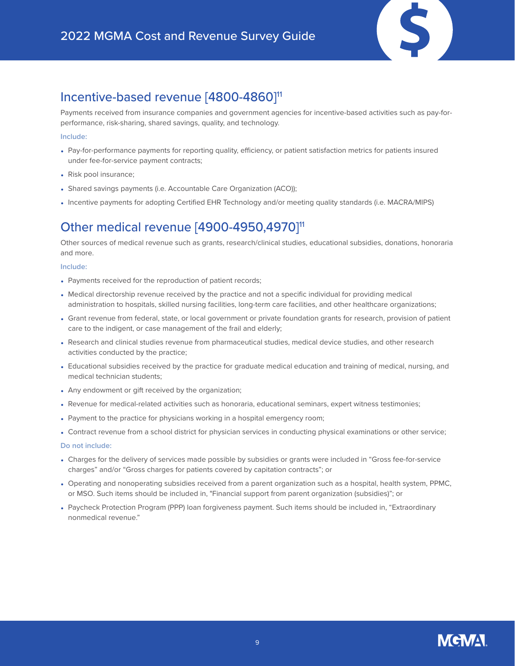

### Incentive-based revenue [4800-4860]<sup>11</sup>

Payments received from insurance companies and government agencies for incentive-based activities such as pay-forperformance, risk-sharing, shared savings, quality, and technology.

### **Include:**

- Pay-for-performance payments for reporting quality, efficiency, or patient satisfaction metrics for patients insured under fee-for-service payment contracts;
- Risk pool insurance;
- Shared savings payments (i.e. Accountable Care Organization (ACO));
- Incentive payments for adopting Certified EHR Technology and/or meeting quality standards (i.e. MACRA/MIPS)

### Other medical revenue [4900-4950,4970]<sup>11</sup>

Other sources of medical revenue such as grants, research/clinical studies, educational subsidies, donations, honoraria and more.

#### **Include:**

- Payments received for the reproduction of patient records;
- Medical directorship revenue received by the practice and not a specific individual for providing medical administration to hospitals, skilled nursing facilities, long-term care facilities, and other healthcare organizations;
- Grant revenue from federal, state, or local government or private foundation grants for research, provision of patient care to the indigent, or case management of the frail and elderly;
- Research and clinical studies revenue from pharmaceutical studies, medical device studies, and other research activities conducted by the practice;
- Educational subsidies received by the practice for graduate medical education and training of medical, nursing, and medical technician students;
- Any endowment or gift received by the organization;
- Revenue for medical-related activities such as honoraria, educational seminars, expert witness testimonies;
- Payment to the practice for physicians working in a hospital emergency room;
- Contract revenue from a school district for physician services in conducting physical examinations or other service;

- Charges for the delivery of services made possible by subsidies or grants were included in "Gross fee-for-service charges" and/or "Gross charges for patients covered by capitation contracts"; or
- Operating and nonoperating subsidies received from a parent organization such as a hospital, health system, PPMC, or MSO. Such items should be included in, "Financial support from parent organization (subsidies)"; or
- Paycheck Protection Program (PPP) loan forgiveness payment. Such items should be included in, "Extraordinary nonmedical revenue."

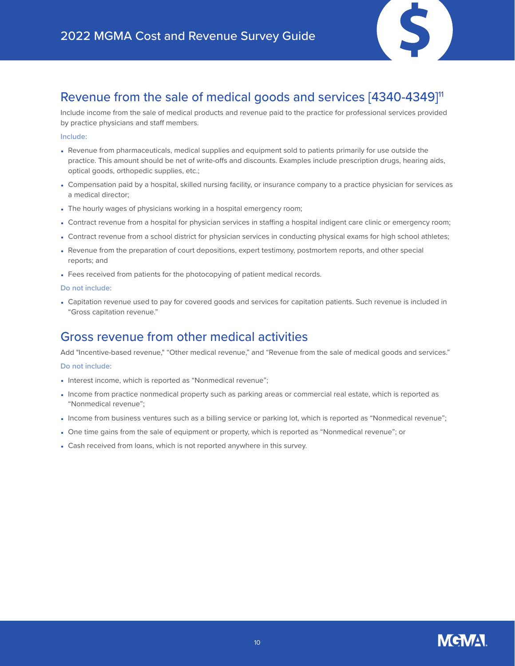

### Revenue from the sale of medical goods and services [4340-4349]<sup>11</sup>

Include income from the sale of medical products and revenue paid to the practice for professional services provided by practice physicians and staff members.

### **Include:**

- Revenue from pharmaceuticals, medical supplies and equipment sold to patients primarily for use outside the practice. This amount should be net of write-offs and discounts. Examples include prescription drugs, hearing aids, optical goods, orthopedic supplies, etc.;
- Compensation paid by a hospital, skilled nursing facility, or insurance company to a practice physician for services as a medical director;
- The hourly wages of physicians working in a hospital emergency room;
- Contract revenue from a hospital for physician services in staffing a hospital indigent care clinic or emergency room;
- Contract revenue from a school district for physician services in conducting physical exams for high school athletes;
- Revenue from the preparation of court depositions, expert testimony, postmortem reports, and other special reports; and
- Fees received from patients for the photocopying of patient medical records.

#### **Do not include:**

• Capitation revenue used to pay for covered goods and services for capitation patients. Such revenue is included in "Gross capitation revenue."

### Gross revenue from other medical activities

Add "Incentive-based revenue," "Other medical revenue," and "Revenue from the sale of medical goods and services."

- Interest income, which is reported as "Nonmedical revenue";
- Income from practice nonmedical property such as parking areas or commercial real estate, which is reported as "Nonmedical revenue";
- Income from business ventures such as a billing service or parking lot, which is reported as "Nonmedical revenue";
- One time gains from the sale of equipment or property, which is reported as "Nonmedical revenue"; or
- Cash received from loans, which is not reported anywhere in this survey.

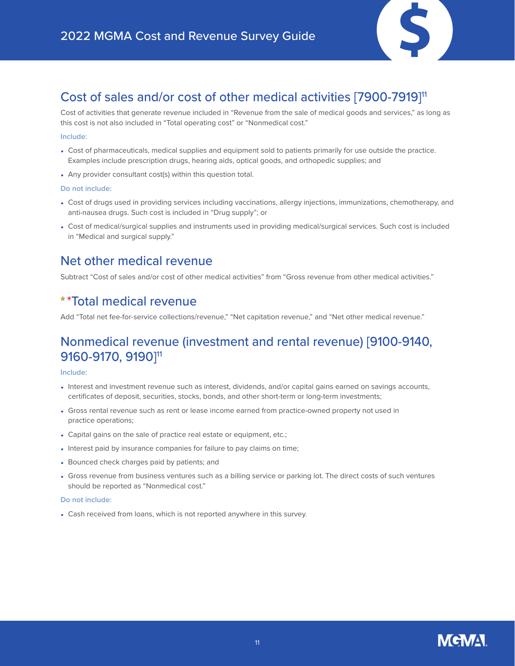

### Cost of sales and/or cost of other medical activities [7900-7919]11

Cost of activities that generate revenue included in "Revenue from the sale of medical goods and services," as long as this cost is not also included in "Total operating cost" or "Nonmedical cost."

### **Include:**

- Cost of pharmaceuticals, medical supplies and equipment sold to patients primarily for use outside the practice. Examples include prescription drugs, hearing aids, optical goods, and orthopedic supplies; and
- Any provider consultant cost(s) within this question total.

### **Do not include:**

- Cost of drugs used in providing services including vaccinations, allergy injections, immunizations, chemotherapy, and anti-nausea drugs. Such cost is included in "Drug supply"; or
- Cost of medical/surgical supplies and instruments used in providing medical/surgical services. Such cost is included in "Medical and surgical supply."

### Net other medical revenue

Subtract "Cost of sales and/or cost of other medical activities" from "Gross revenue from other medical activities."

### \*Total medical revenue

Add "Total net fee-for-service collections/revenue," "Net capitation revenue," and "Net other medical revenue."

### Nonmedical revenue (investment and rental revenue) [9100-9140, 9160-9170, 9190]11

### **Include:**

- Interest and investment revenue such as interest, dividends, and/or capital gains earned on savings accounts, certificates of deposit, securities, stocks, bonds, and other short-term or long-term investments;
- Gross rental revenue such as rent or lease income earned from practice-owned property not used in practice operations;
- Capital gains on the sale of practice real estate or equipment, etc.;
- Interest paid by insurance companies for failure to pay claims on time;
- Bounced check charges paid by patients; and
- Gross revenue from business ventures such as a billing service or parking lot. The direct costs of such ventures should be reported as "Nonmedical cost."

### **Do not include:**

• Cash received from loans, which is not reported anywhere in this survey.

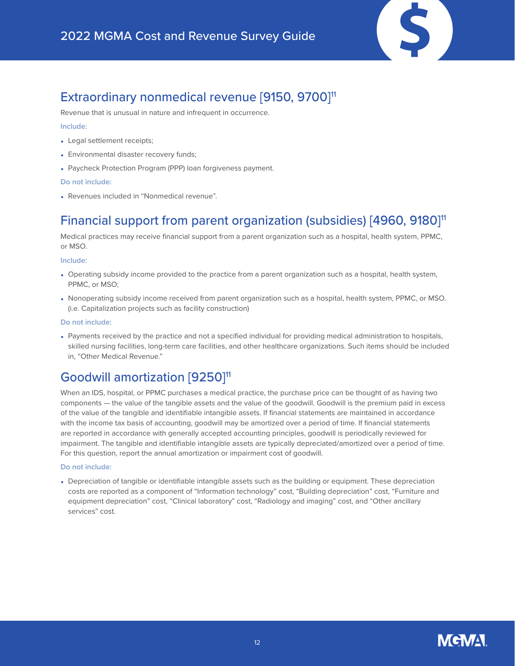

### Extraordinary nonmedical revenue [9150, 9700]<sup>11</sup>

Revenue that is unusual in nature and infrequent in occurrence.

### **Include:**

- Legal settlement receipts;
- Environmental disaster recovery funds;
- Paycheck Protection Program (PPP) loan forgiveness payment.

### **Do not include:**

• Revenues included in "Nonmedical revenue".

### Financial support from parent organization (subsidies) [4960, 9180]<sup>11</sup>

Medical practices may receive financial support from a parent organization such as a hospital, health system, PPMC, or MSO.

#### **Include:**

- Operating subsidy income provided to the practice from a parent organization such as a hospital, health system, PPMC, or MSO;
- Nonoperating subsidy income received from parent organization such as a hospital, health system, PPMC, or MSO. (i.e. Capitalization projects such as facility construction)

#### **Do not include:**

• Payments received by the practice and not a specified individual for providing medical administration to hospitals, skilled nursing facilities, long-term care facilities, and other healthcare organizations. Such items should be included in, "Other Medical Revenue."

### Goodwill amortization [9250]<sup>11</sup>

When an IDS, hospital, or PPMC purchases a medical practice, the purchase price can be thought of as having two components — the value of the tangible assets and the value of the goodwill. Goodwill is the premium paid in excess of the value of the tangible and identifiable intangible assets. If financial statements are maintained in accordance with the income tax basis of accounting, goodwill may be amortized over a period of time. If financial statements are reported in accordance with generally accepted accounting principles, goodwill is periodically reviewed for impairment. The tangible and identifiable intangible assets are typically depreciated/amortized over a period of time. For this question, report the annual amortization or impairment cost of goodwill.

### **Do not include:**

• Depreciation of tangible or identifiable intangible assets such as the building or equipment. These depreciation costs are reported as a component of "Information technology" cost, "Building depreciation" cost, "Furniture and equipment depreciation" cost, "Clinical laboratory" cost, "Radiology and imaging" cost, and "Other ancillary services" cost.

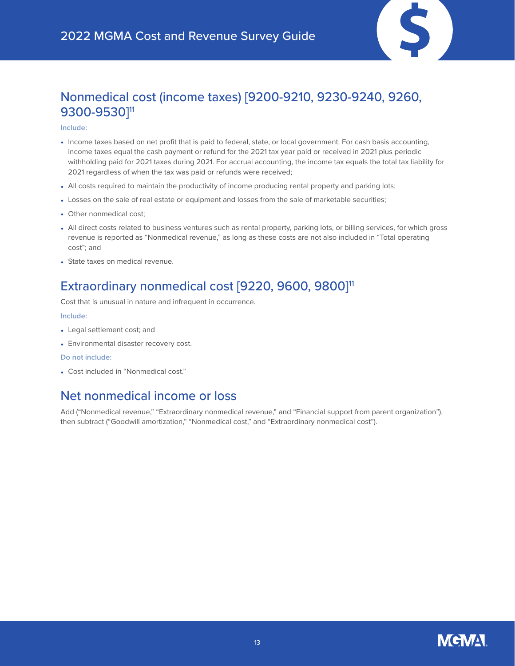

### Nonmedical cost (income taxes) [9200-9210, 9230-9240, 9260, 9300-9530]<sup>11</sup>

#### **Include:**

- Income taxes based on net profit that is paid to federal, state, or local government. For cash basis accounting, income taxes equal the cash payment or refund for the 2021 tax year paid or received in 2021 plus periodic withholding paid for 2021 taxes during 2021. For accrual accounting, the income tax equals the total tax liability for 2021 regardless of when the tax was paid or refunds were received;
- All costs required to maintain the productivity of income producing rental property and parking lots;
- Losses on the sale of real estate or equipment and losses from the sale of marketable securities;
- Other nonmedical cost;
- All direct costs related to business ventures such as rental property, parking lots, or billing services, for which gross revenue is reported as "Nonmedical revenue," as long as these costs are not also included in "Total operating cost"; and
- State taxes on medical revenue.

### Extraordinary nonmedical cost [9220, 9600, 9800]<sup>11</sup>

Cost that is unusual in nature and infrequent in occurrence.

### **Include:**

- Legal settlement cost; and
- Environmental disaster recovery cost.

### **Do not include:**

• Cost included in "Nonmedical cost."

### Net nonmedical income or loss

Add ("Nonmedical revenue," "Extraordinary nonmedical revenue," and "Financial support from parent organization"), then subtract ("Goodwill amortization," "Nonmedical cost," and "Extraordinary nonmedical cost").

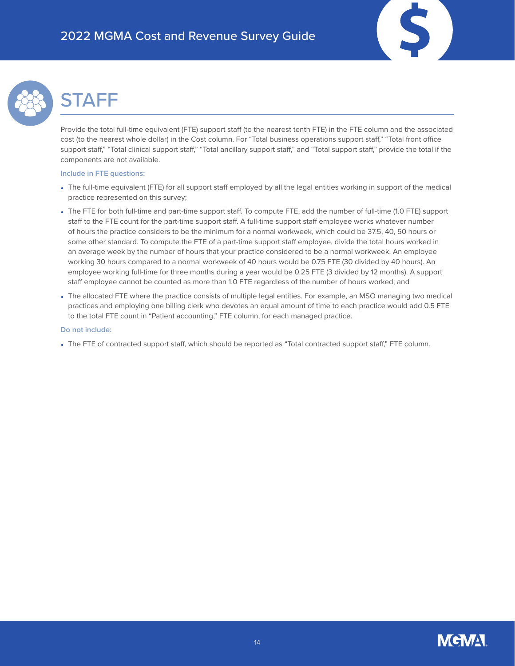

# <span id="page-13-0"></span>**STAFF**

Provide the total full-time equivalent (FTE) support staff (to the nearest tenth FTE) in the FTE column and the associated cost (to the nearest whole dollar) in the Cost column. For "Total business operations support staff," "Total front office support staff," "Total clinical support staff," "Total ancillary support staff," and "Total support staff," provide the total if the components are not available.

### **Include in FTE questions:**

- The full-time equivalent (FTE) for all support staff employed by all the legal entities working in support of the medical practice represented on this survey;
- The FTE for both full-time and part-time support staff. To compute FTE, add the number of full-time (1.0 FTE) support staff to the FTE count for the part-time support staff. A full-time support staff employee works whatever number of hours the practice considers to be the minimum for a normal workweek, which could be 37.5, 40, 50 hours or some other standard. To compute the FTE of a part-time support staff employee, divide the total hours worked in an average week by the number of hours that your practice considered to be a normal workweek. An employee working 30 hours compared to a normal workweek of 40 hours would be 0.75 FTE (30 divided by 40 hours). An employee working full-time for three months during a year would be 0.25 FTE (3 divided by 12 months). A support staff employee cannot be counted as more than 1.0 FTE regardless of the number of hours worked; and
- The allocated FTE where the practice consists of multiple legal entities. For example, an MSO managing two medical practices and employing one billing clerk who devotes an equal amount of time to each practice would add 0.5 FTE to the total FTE count in "Patient accounting," FTE column, for each managed practice.

### **Do not include:**

• The FTE of contracted support staff, which should be reported as "Total contracted support staff," FTE column.

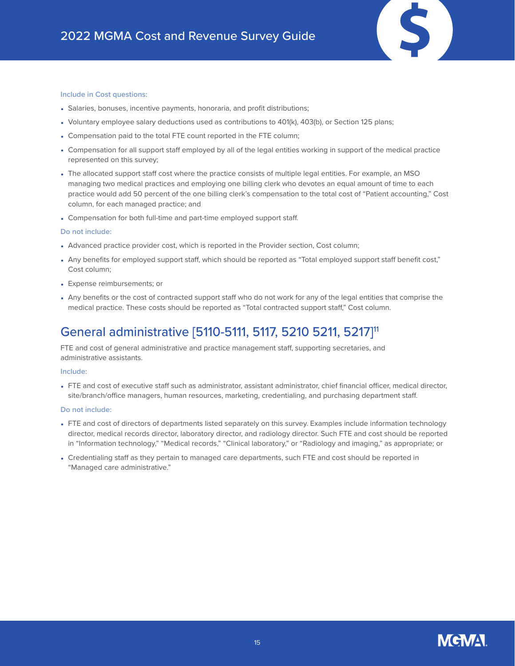#### **Include in Cost questions:**

- Salaries, bonuses, incentive payments, honoraria, and profit distributions;
- Voluntary employee salary deductions used as contributions to 401(k), 403(b), or Section 125 plans;
- Compensation paid to the total FTE count reported in the FTE column;
- Compensation for all support staff employed by all of the legal entities working in support of the medical practice represented on this survey;
- The allocated support staff cost where the practice consists of multiple legal entities. For example, an MSO managing two medical practices and employing one billing clerk who devotes an equal amount of time to each practice would add 50 percent of the one billing clerk's compensation to the total cost of "Patient accounting," Cost column, for each managed practice; and
- Compensation for both full-time and part-time employed support staff.

#### **Do not include:**

- Advanced practice provider cost, which is reported in the Provider section, Cost column;
- Any benefits for employed support staff, which should be reported as "Total employed support staff benefit cost," Cost column;
- Expense reimbursements; or
- Any benefits or the cost of contracted support staff who do not work for any of the legal entities that comprise the medical practice. These costs should be reported as "Total contracted support staff," Cost column.

### General administrative [5110-5111, 5117, 5210 5211, 5217]11

FTE and cost of general administrative and practice management staff, supporting secretaries, and administrative assistants.

#### **Include:**

• FTE and cost of executive staff such as administrator, assistant administrator, chief financial officer, medical director, site/branch/office managers, human resources, marketing, credentialing, and purchasing department staff.

- FTE and cost of directors of departments listed separately on this survey. Examples include information technology director, medical records director, laboratory director, and radiology director. Such FTE and cost should be reported in "Information technology," "Medical records," "Clinical laboratory," or "Radiology and imaging," as appropriate; or
- Credentialing staff as they pertain to managed care departments, such FTE and cost should be reported in "Managed care administrative."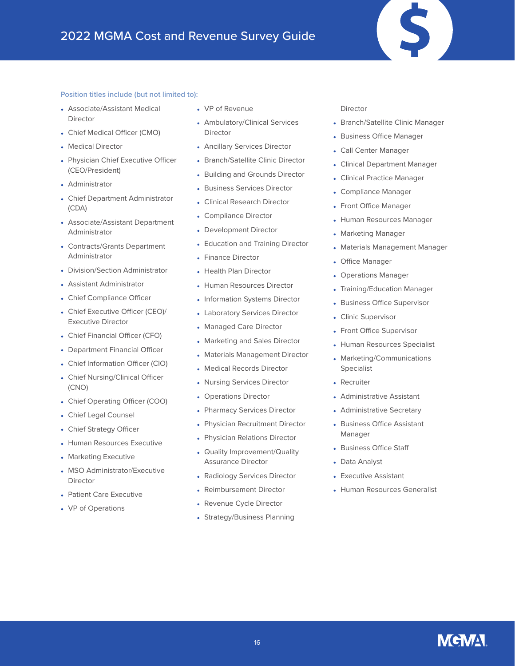

- Associate/Assistant Medical Director
- Chief Medical Officer (CMO)
- Medical Director
- Physician Chief Executive Officer (CEO/President)
- Administrator
- Chief Department Administrator (CDA)
- Associate/Assistant Department Administrator
- Contracts/Grants Department Administrator
- Division/Section Administrator
- Assistant Administrator
- Chief Compliance Officer
- Chief Executive Officer (CEO)/ Executive Director
- Chief Financial Officer (CFO)
- Department Financial Officer
- Chief Information Officer (CIO)
- Chief Nursing/Clinical Officer (CNO)
- Chief Operating Officer (COO)
- Chief Legal Counsel
- Chief Strategy Officer
- Human Resources Executive
- Marketing Executive
- MSO Administrator/Executive Director
- Patient Care Executive
- VP of Operations
- VP of Revenue
- Ambulatory/Clinical Services Director
- Ancillary Services Director
- Branch/Satellite Clinic Director
- Building and Grounds Director
- Business Services Director
- Clinical Research Director
- Compliance Director
- Development Director
- Education and Training Director
- Finance Director
- Health Plan Director
- Human Resources Director
- Information Systems Director
- Laboratory Services Director
- Managed Care Director
- Marketing and Sales Director
- Materials Management Director
- Medical Records Director
- Nursing Services Director
- Operations Director
- Pharmacy Services Director
- Physician Recruitment Director
- Physician Relations Director
- Quality Improvement/Quality Assurance Director
- Radiology Services Director
- Reimbursement Director
- Revenue Cycle Director
- Strategy/Business Planning

#### Director

- Branch/Satellite Clinic Manager
- Business Office Manager
- Call Center Manager
- Clinical Department Manager
- Clinical Practice Manager
- Compliance Manager
- Front Office Manager
- Human Resources Manager
- Marketing Manager
- Materials Management Manager
- Office Manager
- Operations Manager
- Training/Education Manager
- Business Office Supervisor
- Clinic Supervisor
- Front Office Supervisor
- Human Resources Specialist
- Marketing/Communications Specialist
- Recruiter
- Administrative Assistant
- Administrative Secretary
- Business Office Assistant Manager
- Business Office Staff
- Data Analyst
- Executive Assistant
- Human Resources Generalist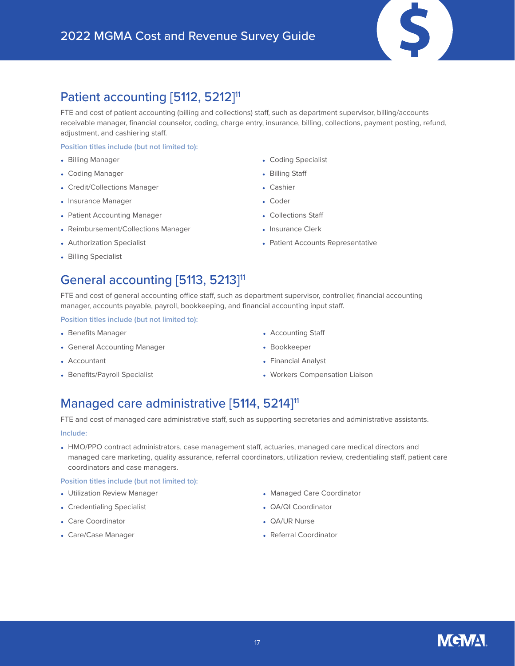### Patient accounting [5112, 5212]<sup>11</sup>

FTE and cost of patient accounting (billing and collections) staff, such as department supervisor, billing/accounts receivable manager, financial counselor, coding, charge entry, insurance, billing, collections, payment posting, refund, adjustment, and cashiering staff.

### **Position titles include (but not limited to):**

- Billing Manager
- Coding Manager
- Credit/Collections Manager
- Insurance Manager
- Patient Accounting Manager
- Reimbursement/Collections Manager
- Authorization Specialist
- Billing Specialist

### General accounting [5113, 5213]<sup>11</sup>

FTE and cost of general accounting office staff, such as department supervisor, controller, financial accounting manager, accounts payable, payroll, bookkeeping, and financial accounting input staff.

**Position titles include (but not limited to):**

- Benefits Manager
- General Accounting Manager
- Accountant
- Benefits/Payroll Specialist
- Coding Specialist
- Billing Staff
- Cashier
- Coder
- Collections Staff
- Insurance Clerk
- Patient Accounts Representative

- Accounting Staff
- Bookkeeper
- Financial Analyst
- Workers Compensation Liaison

### Managed care administrative [5114, 5214]<sup>11</sup>

FTE and cost of managed care administrative staff, such as supporting secretaries and administrative assistants.

### **Include:**

• HMO/PPO contract administrators, case management staff, actuaries, managed care medical directors and managed care marketing, quality assurance, referral coordinators, utilization review, credentialing staff, patient care coordinators and case managers.

### **Position titles include (but not limited to):**

- Utilization Review Manager
- Credentialing Specialist
- Care Coordinator
- Care/Case Manager
- Managed Care Coordinator
- QA/QI Coordinator
- QA/UR Nurse
- Referral Coordinator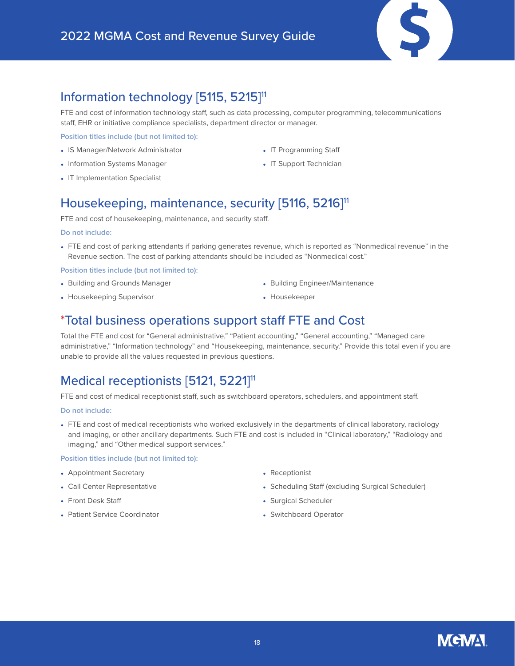### Information technology [5115, 5215]<sup>11</sup>

FTE and cost of information technology staff, such as data processing, computer programming, telecommunications staff, EHR or initiative compliance specialists, department director or manager.

**Position titles include (but not limited to):**

- IS Manager/Network Administrator
- Information Systems Manager
- IT Implementation Specialist
- IT Programming Staff
- IT Support Technician

### Housekeeping, maintenance, security [5116, 5216]<sup>11</sup>

FTE and cost of housekeeping, maintenance, and security staff.

#### **Do not include:**

• FTE and cost of parking attendants if parking generates revenue, which is reported as "Nonmedical revenue" in the Revenue section. The cost of parking attendants should be included as "Nonmedical cost."

**Position titles include (but not limited to):**

• Building and Grounds Manager

• Building Engineer/Maintenance

• Housekeeping Supervisor

• Housekeeper

### \*Total business operations support staff FTE and Cost

Total the FTE and cost for "General administrative," "Patient accounting," "General accounting," "Managed care administrative," "Information technology" and "Housekeeping, maintenance, security." Provide this total even if you are unable to provide all the values requested in previous questions.

### Medical receptionists [5121, 5221]<sup>11</sup>

FTE and cost of medical receptionist staff, such as switchboard operators, schedulers, and appointment staff.

#### **Do not include:**

• FTE and cost of medical receptionists who worked exclusively in the departments of clinical laboratory, radiology and imaging, or other ancillary departments. Such FTE and cost is included in "Clinical laboratory," "Radiology and imaging," and "Other medical support services."

### **Position titles include (but not limited to):**

- Appointment Secretary
- Call Center Representative
- Front Desk Staff
- Patient Service Coordinator
- Receptionist
- Scheduling Staff (excluding Surgical Scheduler)
- Surgical Scheduler
- Switchboard Operator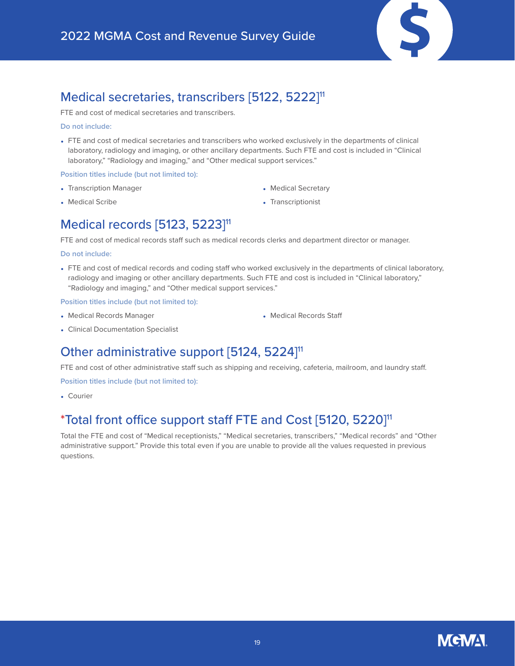

### Medical secretaries, transcribers [5122, 5222]<sup>11</sup>

FTE and cost of medical secretaries and transcribers.

#### **Do not include:**

• FTE and cost of medical secretaries and transcribers who worked exclusively in the departments of clinical laboratory, radiology and imaging, or other ancillary departments. Such FTE and cost is included in "Clinical laboratory," "Radiology and imaging," and "Other medical support services."

### **Position titles include (but not limited to):**

- Transcription Manager
- Medical Scribe
- Medical Secretary
- Transcriptionist

### Medical records [5123, 5223]<sup>11</sup>

FTE and cost of medical records staff such as medical records clerks and department director or manager.

#### **Do not include:**

• FTE and cost of medical records and coding staff who worked exclusively in the departments of clinical laboratory, radiology and imaging or other ancillary departments. Such FTE and cost is included in "Clinical laboratory," "Radiology and imaging," and "Other medical support services."

**Position titles include (but not limited to):**

• Medical Records Manager

• Medical Records Staff

• Clinical Documentation Specialist

### Other administrative support [5124, 5224]<sup>11</sup>

FTE and cost of other administrative staff such as shipping and receiving, cafeteria, mailroom, and laundry staff.

**Position titles include (but not limited to):**

• Courier

### \*Total front office support staff FTE and Cost [5120, 5220]11

Total the FTE and cost of "Medical receptionists," "Medical secretaries, transcribers," "Medical records" and "Other administrative support." Provide this total even if you are unable to provide all the values requested in previous questions.

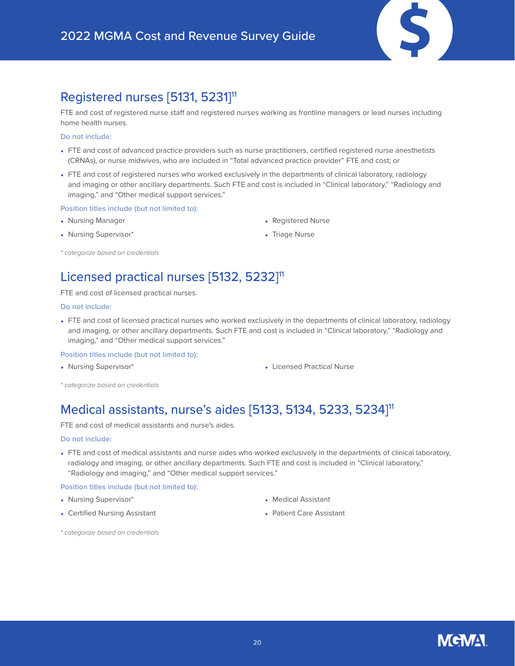### Registered nurses [5131, 5231]<sup>11</sup>

FTE and cost of registered nurse staff and registered nurses working as frontline managers or lead nurses including home health nurses.

#### **Do not include:**

- FTE and cost of advanced practice providers such as nurse practitioners, certified registered nurse anesthetists (CRNAs), or nurse midwives, who are included in "Total advanced practice provider" FTE and cost; or
- FTE and cost of registered nurses who worked exclusively in the departments of clinical laboratory, radiology and imaging or other ancillary departments. Such FTE and cost is included in "Clinical laboratory," "Radiology and imaging," and "Other medical support services."

#### **Position titles include (but not limited to):**

- Nursing Manager
- Nursing Supervisor\*
- Registered Nurse
- Triage Nurse

*\* categorize based on credentials*

### Licensed practical nurses [5132, 5232]<sup>11</sup>

FTE and cost of licensed practical nurses.

#### **Do not include:**

• FTE and cost of licensed practical nurses who worked exclusively in the departments of clinical laboratory, radiology and imaging, or other ancillary departments. Such FTE and cost is included in "Clinical laboratory," "Radiology and imaging," and "Other medical support services."

#### **Position titles include (but not limited to):**

- 
- Nursing Supervisor\* Licensed Practical Nurse
- *\* categorize based on credentials*

### Medical assistants, nurse's aides [5133, 5134, 5233, 5234]11

FTE and cost of medical assistants and nurse's aides.

#### **Do not include:**

• FTE and cost of medical assistants and nurse aides who worked exclusively in the departments of clinical laboratory, radiology and imaging, or other ancillary departments. Such FTE and cost is included in "Clinical laboratory," "Radiology and imaging," and "Other medical support services."

#### **Position titles include (but not limited to):**

- Nursing Supervisor\*
- Certified Nursing Assistant
- Medical Assistant
- Patient Care Assistant

*\* categorize based on credentials*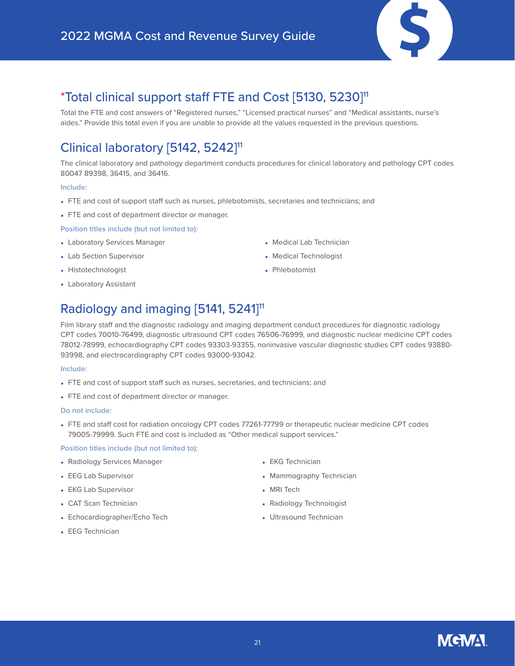

### \*Total clinical support staff FTE and Cost [5130, 5230]11

Total the FTE and cost answers of "Registered nurses," "Licensed practical nurses" and "Medical assistants, nurse's aides." Provide this total even if you are unable to provide all the values requested in the previous questions.

### Clinical laboratory [5142, 5242]<sup>11</sup>

The clinical laboratory and pathology department conducts procedures for clinical laboratory and pathology CPT codes 80047 89398, 36415, and 36416.

#### **Include:**

- FTE and cost of support staff such as nurses, phlebotomists, secretaries and technicians; and
- FTE and cost of department director or manager.

### **Position titles include (but not limited to):**

- Laboratory Services Manager
- Lab Section Supervisor
- Histotechnologist
- Laboratory Assistant

### Radiology and imaging [5141, 5241]<sup>11</sup>

Film library staff and the diagnostic radiology and imaging department conduct procedures for diagnostic radiology CPT codes 70010-76499, diagnostic ultrasound CPT codes 76506-76999, and diagnostic nuclear medicine CPT codes 78012-78999, echocardiography CPT codes 93303-93355, noninvasive vascular diagnostic studies CPT codes 93880- 93998, and electrocardiography CPT codes 93000-93042.

#### **Include:**

- FTE and cost of support staff such as nurses, secretaries, and technicians; and
- FTE and cost of department director or manager.

#### **Do not include:**

• FTE and staff cost for radiation oncology CPT codes 77261-77799 or therapeutic nuclear medicine CPT codes 79005-79999. Such FTE and cost is included as "Other medical support services."

### **Position titles include (but not limited to):**

- Radiology Services Manager
- EEG Lab Supervisor
- EKG Lab Supervisor
- CAT Scan Technician
- Echocardiographer/Echo Tech
- EKG Technician
- Mammography Technician

• Medical Lab Technician • Medical Technologist

• Phlebotomist

- MRI Tech
- Radiology Technologist
- Ultrasound Technician

• EEG Technician

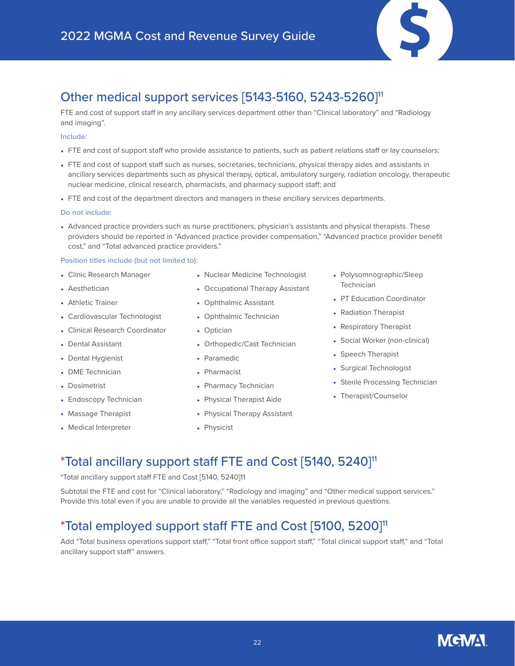

### Other medical support services [5143-5160, 5243-5260]11

FTE and cost of support staff in any ancillary services department other than "Clinical laboratory" and "Radiology and imaging".

#### **Include:**

- FTE and cost of support staff who provide assistance to patients, such as patient relations staff or lay counselors;
- FTE and cost of support staff such as nurses, secretaries, technicians, physical therapy aides and assistants in ancillary services departments such as physical therapy, optical, ambulatory surgery, radiation oncology, therapeutic nuclear medicine, clinical research, pharmacists, and pharmacy support staff; and
- FTE and cost of the department directors and managers in these ancillary services departments.

#### **Do not include:**

• Advanced practice providers such as nurse practitioners, physician's assistants and physical therapists. These providers should be reported in "Advanced practice provider compensation," "Advanced practice provider benefit cost," and "Total advanced practice providers."

#### **Position titles include (but not limited to):**

- Clinic Research Manager
- Aesthetician
- Athletic Trainer
- Cardiovascular Technologist
- Clinical Research Coordinator
- Dental Assistant
- Dental Hygienist
- DME Technician
- Dosimetrist
- Endoscopy Technician
- Massage Therapist
- Medical Interpreter
- Nuclear Medicine Technologist
- Occupational Therapy Assistant
- Ophthalmic Assistant
- Ophthalmic Technician
- Optician
- Orthopedic/Cast Technician
- Paramedic
- Pharmacist
- Pharmacy Technician
- Physical Therapist Aide
- Physical Therapy Assistant
- Physicist
- Polysomnographic/Sleep **Technician**
- PT Education Coordinator
- Radiation Therapist
- Respiratory Therapist
- Social Worker (non-clinical)
- Speech Therapist
- Surgical Technologist
- Sterile Processing Technician
- Therapist/Counselor

### \*Total ancillary support staff FTE and Cost [5140, 5240]11

\*Total ancillary support staff FTE and Cost [5140, 5240]11

Subtotal the FTE and cost for "Clinical laboratory," "Radiology and imaging" and "Other medical support services." Provide this total even if you are unable to provide all the variables requested in previous questions.

### \*Total employed support staff FTE and Cost [5100, 5200]11

Add "Total business operations support staff," "Total front office support staff," "Total clinical support staff," and "Total ancillary support staff" answers.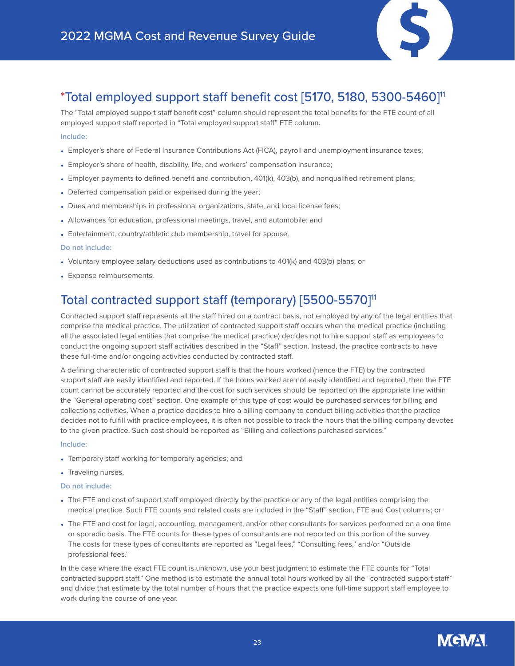

### \*Total employed support staff benefit cost [5170, 5180, 5300-5460]11

The "Total employed support staff benefit cost" column should represent the total benefits for the FTE count of all employed support staff reported in "Total employed support staff" FTE column.

### **Include:**

- Employer's share of Federal Insurance Contributions Act (FICA), payroll and unemployment insurance taxes;
- Employer's share of health, disability, life, and workers' compensation insurance;
- Employer payments to defined benefit and contribution, 401(k), 403(b), and nonqualified retirement plans;
- Deferred compensation paid or expensed during the year;
- Dues and memberships in professional organizations, state, and local license fees;
- Allowances for education, professional meetings, travel, and automobile; and
- Entertainment, country/athletic club membership, travel for spouse.

### **Do not include:**

- Voluntary employee salary deductions used as contributions to 401(k) and 403(b) plans; or
- Expense reimbursements.

### Total contracted support staff (temporary) [5500-5570]<sup>11</sup>

Contracted support staff represents all the staff hired on a contract basis, not employed by any of the legal entities that comprise the medical practice. The utilization of contracted support staff occurs when the medical practice (including all the associated legal entities that comprise the medical practice) decides not to hire support staff as employees to conduct the ongoing support staff activities described in the "Staff" section. Instead, the practice contracts to have these full-time and/or ongoing activities conducted by contracted staff.

A defining characteristic of contracted support staff is that the hours worked (hence the FTE) by the contracted support staff are easily identified and reported. If the hours worked are not easily identified and reported, then the FTE count cannot be accurately reported and the cost for such services should be reported on the appropriate line within the "General operating cost" section. One example of this type of cost would be purchased services for billing and collections activities. When a practice decides to hire a billing company to conduct billing activities that the practice decides not to fulfill with practice employees, it is often not possible to track the hours that the billing company devotes to the given practice. Such cost should be reported as "Billing and collections purchased services."

#### **Include:**

- Temporary staff working for temporary agencies; and
- Traveling nurses.

### **Do not include:**

- The FTE and cost of support staff employed directly by the practice or any of the legal entities comprising the medical practice. Such FTE counts and related costs are included in the "Staff" section, FTE and Cost columns; or
- The FTE and cost for legal, accounting, management, and/or other consultants for services performed on a one time or sporadic basis. The FTE counts for these types of consultants are not reported on this portion of the survey. The costs for these types of consultants are reported as "Legal fees," "Consulting fees," and/or "Outside professional fees."

In the case where the exact FTE count is unknown, use your best judgment to estimate the FTE counts for "Total contracted support staff." One method is to estimate the annual total hours worked by all the "contracted support staff" and divide that estimate by the total number of hours that the practice expects one full-time support staff employee to work during the course of one year.

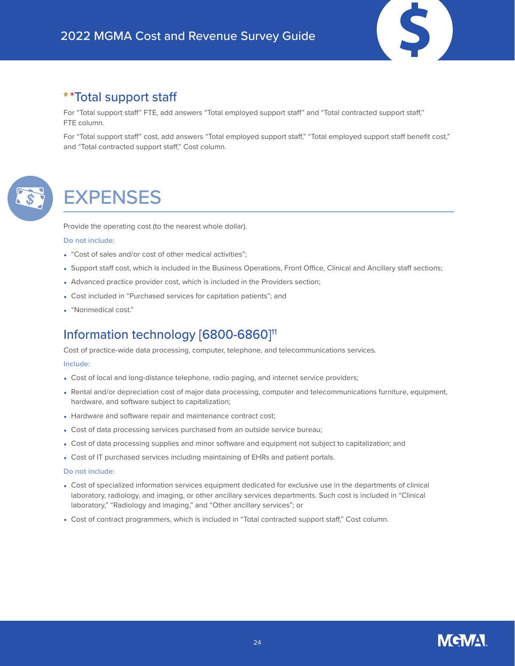

For "Total support staff" FTE, add answers "Total employed support staff" and "Total contracted support staff," FTE column.

For "Total support staff" cost, add answers "Total employed support staff," "Total employed support staff benefit cost," and "Total contracted support staff," Cost column.



## <span id="page-23-0"></span>**EXPENSES**

Provide the operating cost (to the nearest whole dollar).

#### **Do not include:**

- "Cost of sales and/or cost of other medical activities";
- Support staff cost, which is included in the Business Operations, Front Office, Clinical and Ancillary staff sections;
- Advanced practice provider cost, which is included in the Providers section;
- Cost included in "Purchased services for capitation patients"; and
- "Nonmedical cost."

### Information technology [6800-6860]<sup>11</sup>

Cost of practice-wide data processing, computer, telephone, and telecommunications services.

#### **Include:**

- Cost of local and long-distance telephone, radio paging, and internet service providers;
- Rental and/or depreciation cost of major data processing, computer and telecommunications furniture, equipment, hardware, and software subject to capitalization;
- Hardware and software repair and maintenance contract cost;
- Cost of data processing services purchased from an outside service bureau;
- Cost of data processing supplies and minor software and equipment not subject to capitalization; and
- Cost of IT purchased services including maintaining of EHRs and patient portals.

- Cost of specialized information services equipment dedicated for exclusive use in the departments of clinical laboratory, radiology, and imaging, or other ancillary services departments. Such cost is included in "Clinical laboratory," "Radiology and imaging," and "Other ancillary services"; or
- Cost of contract programmers, which is included in "Total contracted support staff," Cost column.

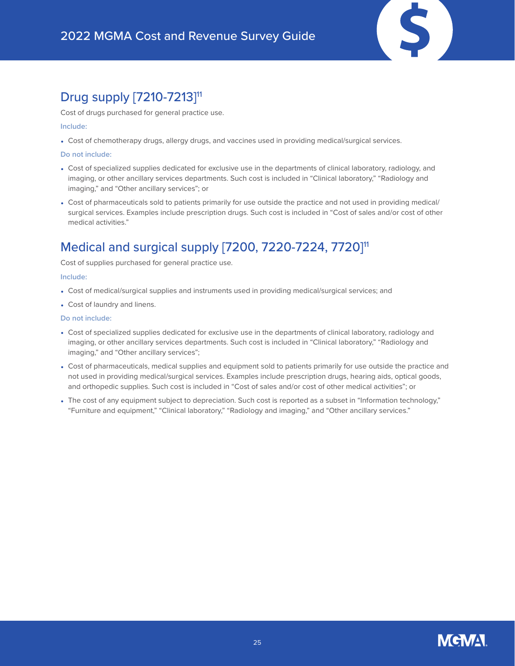### Drug supply [7210-7213]<sup>11</sup>

Cost of drugs purchased for general practice use.

#### **Include:**

• Cost of chemotherapy drugs, allergy drugs, and vaccines used in providing medical/surgical services.

#### **Do not include:**

- Cost of specialized supplies dedicated for exclusive use in the departments of clinical laboratory, radiology, and imaging, or other ancillary services departments. Such cost is included in "Clinical laboratory," "Radiology and imaging," and "Other ancillary services"; or
- Cost of pharmaceuticals sold to patients primarily for use outside the practice and not used in providing medical/ surgical services. Examples include prescription drugs. Such cost is included in "Cost of sales and/or cost of other medical activities."

### Medical and surgical supply [7200, 7220-7224, 7720]<sup>11</sup>

Cost of supplies purchased for general practice use.

#### **Include:**

- Cost of medical/surgical supplies and instruments used in providing medical/surgical services; and
- Cost of laundry and linens.

- Cost of specialized supplies dedicated for exclusive use in the departments of clinical laboratory, radiology and imaging, or other ancillary services departments. Such cost is included in "Clinical laboratory," "Radiology and imaging," and "Other ancillary services";
- Cost of pharmaceuticals, medical supplies and equipment sold to patients primarily for use outside the practice and not used in providing medical/surgical services. Examples include prescription drugs, hearing aids, optical goods, and orthopedic supplies. Such cost is included in "Cost of sales and/or cost of other medical activities"; or
- The cost of any equipment subject to depreciation. Such cost is reported as a subset in "Information technology," "Furniture and equipment," "Clinical laboratory," "Radiology and imaging," and "Other ancillary services."

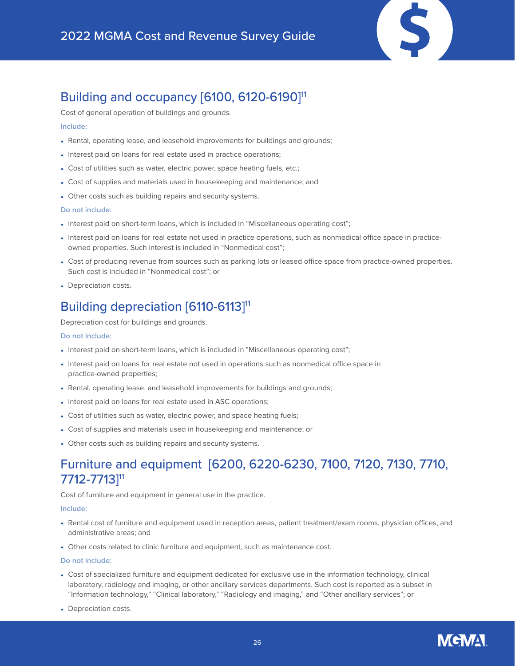### Building and occupancy [6100, 6120-6190]<sup>11</sup>

Cost of general operation of buildings and grounds.

#### **Include:**

- Rental, operating lease, and leasehold improvements for buildings and grounds;
- Interest paid on loans for real estate used in practice operations;
- Cost of utilities such as water, electric power, space heating fuels, etc.;
- Cost of supplies and materials used in housekeeping and maintenance; and
- Other costs such as building repairs and security systems.

#### **Do not include:**

- Interest paid on short-term loans, which is included in "Miscellaneous operating cost";
- Interest paid on loans for real estate not used in practice operations, such as nonmedical office space in practiceowned properties. Such interest is included in "Nonmedical cost";
- Cost of producing revenue from sources such as parking lots or leased office space from practice-owned properties. Such cost is included in "Nonmedical cost"; or
- Depreciation costs.

### Building depreciation [6110-6113]<sup>11</sup>

Depreciation cost for buildings and grounds.

#### **Do not include:**

- Interest paid on short-term loans, which is included in "Miscellaneous operating cost";
- Interest paid on loans for real estate not used in operations such as nonmedical office space in practice-owned properties;
- Rental, operating lease, and leasehold improvements for buildings and grounds;
- Interest paid on loans for real estate used in ASC operations;
- Cost of utilities such as water, electric power, and space heating fuels;
- Cost of supplies and materials used in housekeeping and maintenance; or
- Other costs such as building repairs and security systems.

### Furniture and equipment [6200, 6220-6230, 7100, 7120, 7130, 7710, 7712-7713]11

Cost of furniture and equipment in general use in the practice.

#### **Include:**

- Rental cost of furniture and equipment used in reception areas, patient treatment/exam rooms, physician offices, and administrative areas; and
- Other costs related to clinic furniture and equipment, such as maintenance cost.

- Cost of specialized furniture and equipment dedicated for exclusive use in the information technology, clinical laboratory, radiology and imaging, or other ancillary services departments. Such cost is reported as a subset in "Information technology," "Clinical laboratory," "Radiology and imaging," and "Other ancillary services"; or
- Depreciation costs.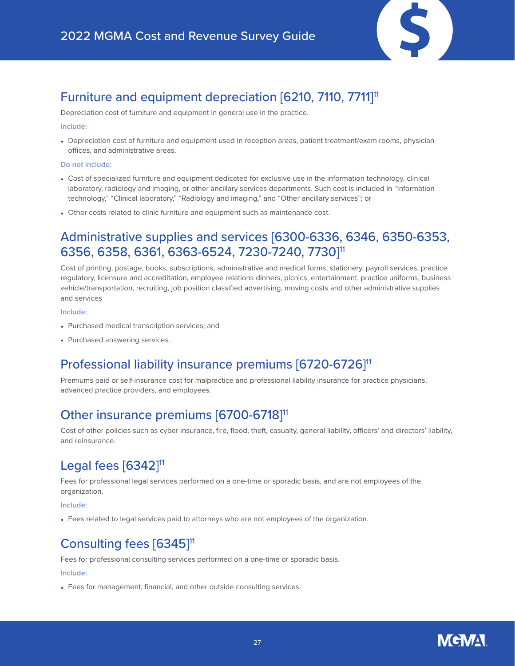

### Furniture and equipment depreciation [6210, 7110, 7711]11

Depreciation cost of furniture and equipment in general use in the practice.

#### **Include:**

• Depreciation cost of furniture and equipment used in reception areas, patient treatment/exam rooms, physician offices, and administrative areas.

### **Do not include:**

- Cost of specialized furniture and equipment dedicated for exclusive use in the information technology, clinical laboratory, radiology and imaging, or other ancillary services departments. Such cost is included in "Information technology," "Clinical laboratory," "Radiology and imaging," and "Other ancillary services"; or
- Other costs related to clinic furniture and equipment such as maintenance cost.

### Administrative supplies and services [6300-6336, 6346, 6350-6353, 6356, 6358, 6361, 6363-6524, 7230-7240, 7730]11

Cost of printing, postage, books, subscriptions, administrative and medical forms, stationery, payroll services, practice regulatory, licensure and accreditation, employee relations dinners, picnics, entertainment, practice uniforms, business vehicle/transportation, recruiting, job position classified advertising, moving costs and other administrative supplies and services

### **Include:**

- Purchased medical transcription services; and
- Purchased answering services.

### Professional liability insurance premiums [6720-6726]<sup>11</sup>

Premiums paid or self-insurance cost for malpractice and professional liability insurance for practice physicians, advanced practice providers, and employees.

### Other insurance premiums [6700-6718]<sup>11</sup>

Cost of other policies such as cyber insurance, fire, flood, theft, casualty, general liability, officers' and directors' liability, and reinsurance.

## Legal fees  $[6342]$ <sup>11</sup>

Fees for professional legal services performed on a one-time or sporadic basis, and are not employees of the organization.

### **Include:**

• Fees related to legal services paid to attorneys who are not employees of the organization.

### Consulting fees [6345]<sup>11</sup>

Fees for professional consulting services performed on a one-time or sporadic basis.

### **Include:**

• Fees for management, financial, and other outside consulting services.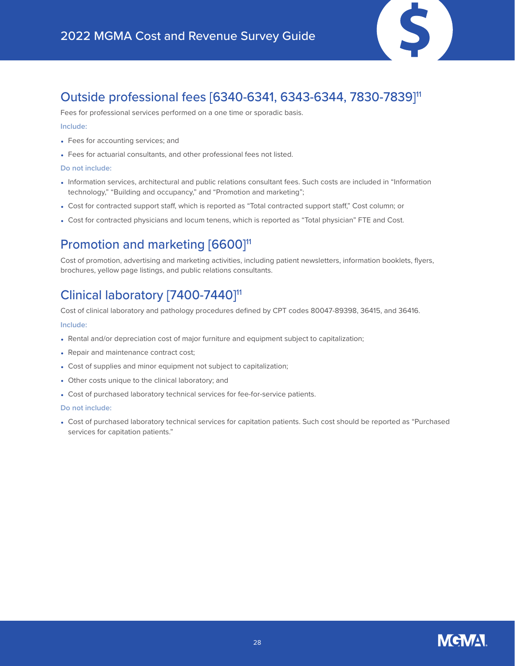

### Outside professional fees [6340-6341, 6343-6344, 7830-7839]11

Fees for professional services performed on a one time or sporadic basis.

#### **Include:**

- Fees for accounting services; and
- Fees for actuarial consultants, and other professional fees not listed.

#### **Do not include:**

- Information services, architectural and public relations consultant fees. Such costs are included in "Information technology," "Building and occupancy," and "Promotion and marketing";
- Cost for contracted support staff, which is reported as "Total contracted support staff," Cost column; or
- Cost for contracted physicians and locum tenens, which is reported as "Total physician" FTE and Cost.

### Promotion and marketing [6600]<sup>11</sup>

Cost of promotion, advertising and marketing activities, including patient newsletters, information booklets, flyers, brochures, yellow page listings, and public relations consultants.

### Clinical laboratory [7400-7440]<sup>11</sup>

Cost of clinical laboratory and pathology procedures defined by CPT codes 80047-89398, 36415, and 36416.

#### **Include:**

- Rental and/or depreciation cost of major furniture and equipment subject to capitalization;
- Repair and maintenance contract cost;
- Cost of supplies and minor equipment not subject to capitalization;
- Other costs unique to the clinical laboratory; and
- Cost of purchased laboratory technical services for fee-for-service patients.

#### **Do not include:**

• Cost of purchased laboratory technical services for capitation patients. Such cost should be reported as "Purchased services for capitation patients."

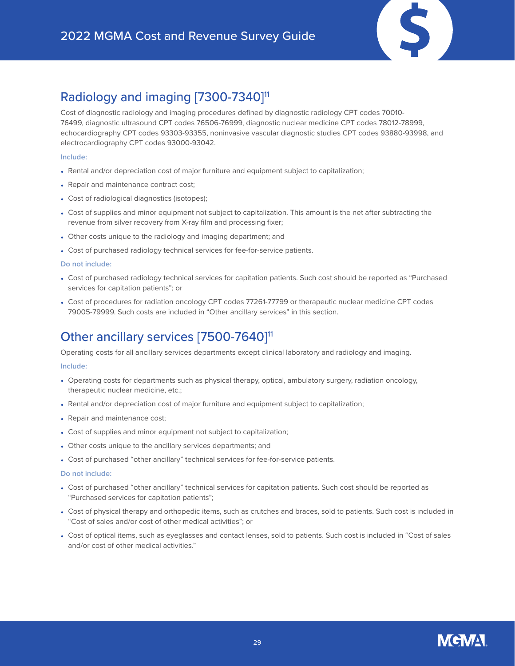

### Radiology and imaging [7300-7340]<sup>11</sup>

Cost of diagnostic radiology and imaging procedures defined by diagnostic radiology CPT codes 70010- 76499, diagnostic ultrasound CPT codes 76506-76999, diagnostic nuclear medicine CPT codes 78012-78999, echocardiography CPT codes 93303-93355, noninvasive vascular diagnostic studies CPT codes 93880-93998, and electrocardiography CPT codes 93000-93042.

### **Include:**

- Rental and/or depreciation cost of major furniture and equipment subject to capitalization;
- Repair and maintenance contract cost;
- Cost of radiological diagnostics (isotopes);
- Cost of supplies and minor equipment not subject to capitalization. This amount is the net after subtracting the revenue from silver recovery from X-ray film and processing fixer;
- Other costs unique to the radiology and imaging department; and
- Cost of purchased radiology technical services for fee-for-service patients.

### **Do not include:**

- Cost of purchased radiology technical services for capitation patients. Such cost should be reported as "Purchased services for capitation patients"; or
- Cost of procedures for radiation oncology CPT codes 77261-77799 or therapeutic nuclear medicine CPT codes 79005-79999. Such costs are included in "Other ancillary services" in this section.

## Other ancillary services [7500-7640]<sup>11</sup>

Operating costs for all ancillary services departments except clinical laboratory and radiology and imaging.

### **Include:**

- Operating costs for departments such as physical therapy, optical, ambulatory surgery, radiation oncology, therapeutic nuclear medicine, etc.;
- Rental and/or depreciation cost of major furniture and equipment subject to capitalization;
- Repair and maintenance cost;
- Cost of supplies and minor equipment not subject to capitalization;
- Other costs unique to the ancillary services departments; and
- Cost of purchased "other ancillary" technical services for fee-for-service patients.

- Cost of purchased "other ancillary" technical services for capitation patients. Such cost should be reported as "Purchased services for capitation patients";
- Cost of physical therapy and orthopedic items, such as crutches and braces, sold to patients. Such cost is included in "Cost of sales and/or cost of other medical activities"; or
- Cost of optical items, such as eyeglasses and contact lenses, sold to patients. Such cost is included in "Cost of sales and/or cost of other medical activities."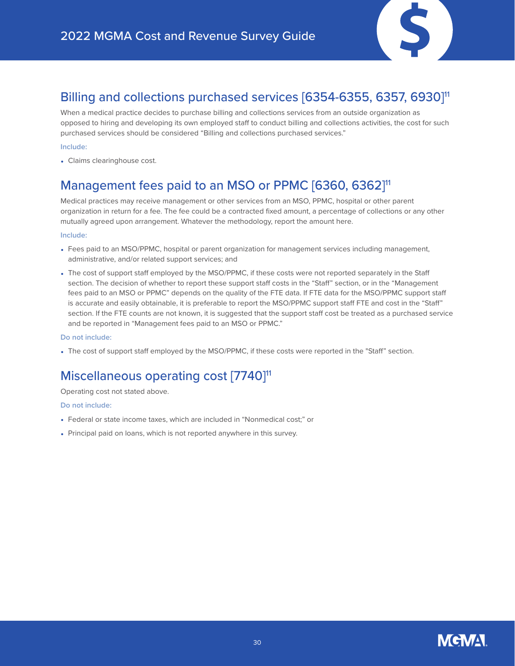

### Billing and collections purchased services [6354-6355, 6357, 6930]<sup>11</sup>

When a medical practice decides to purchase billing and collections services from an outside organization as opposed to hiring and developing its own employed staff to conduct billing and collections activities, the cost for such purchased services should be considered "Billing and collections purchased services."

### **Include:**

• Claims clearinghouse cost.

### Management fees paid to an MSO or PPMC [6360, 6362]<sup>11</sup>

Medical practices may receive management or other services from an MSO, PPMC, hospital or other parent organization in return for a fee. The fee could be a contracted fixed amount, a percentage of collections or any other mutually agreed upon arrangement. Whatever the methodology, report the amount here.

### **Include:**

- Fees paid to an MSO/PPMC, hospital or parent organization for management services including management, administrative, and/or related support services; and
- The cost of support staff employed by the MSO/PPMC, if these costs were not reported separately in the Staff section. The decision of whether to report these support staff costs in the "Staff" section, or in the "Management fees paid to an MSO or PPMC" depends on the quality of the FTE data. If FTE data for the MSO/PPMC support staff is accurate and easily obtainable, it is preferable to report the MSO/PPMC support staff FTE and cost in the "Staff" section. If the FTE counts are not known, it is suggested that the support staff cost be treated as a purchased service and be reported in "Management fees paid to an MSO or PPMC."

#### **Do not include:**

• The cost of support staff employed by the MSO/PPMC, if these costs were reported in the "Staff" section.

### Miscellaneous operating cost [7740]<sup>11</sup>

### Operating cost not stated above.

- Federal or state income taxes, which are included in "Nonmedical cost;" or
- Principal paid on loans, which is not reported anywhere in this survey.

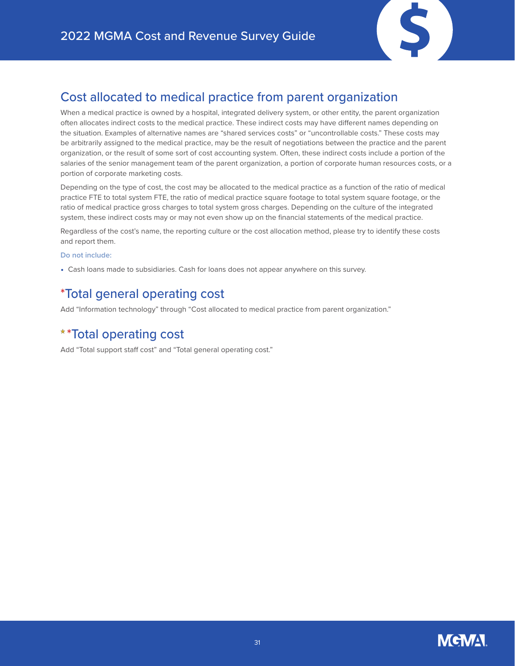

### Cost allocated to medical practice from parent organization

When a medical practice is owned by a hospital, integrated delivery system, or other entity, the parent organization often allocates indirect costs to the medical practice. These indirect costs may have different names depending on the situation. Examples of alternative names are "shared services costs" or "uncontrollable costs." These costs may be arbitrarily assigned to the medical practice, may be the result of negotiations between the practice and the parent organization, or the result of some sort of cost accounting system. Often, these indirect costs include a portion of the salaries of the senior management team of the parent organization, a portion of corporate human resources costs, or a portion of corporate marketing costs.

Depending on the type of cost, the cost may be allocated to the medical practice as a function of the ratio of medical practice FTE to total system FTE, the ratio of medical practice square footage to total system square footage, or the ratio of medical practice gross charges to total system gross charges. Depending on the culture of the integrated system, these indirect costs may or may not even show up on the financial statements of the medical practice.

Regardless of the cost's name, the reporting culture or the cost allocation method, please try to identify these costs and report them.

### **Do not include:**

• Cash loans made to subsidiaries. Cash for loans does not appear anywhere on this survey.

### \*Total general operating cost

Add "Information technology" through "Cost allocated to medical practice from parent organization."

### \*Total operating cost

Add "Total support staff cost" and "Total general operating cost."

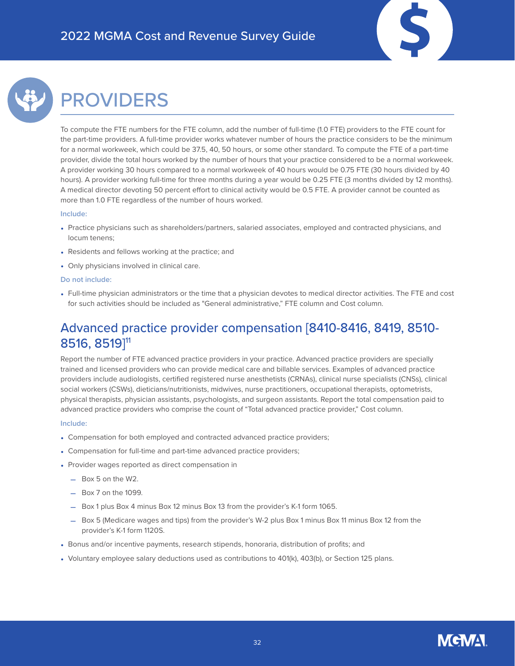

## <span id="page-31-0"></span>PROVIDERS

To compute the FTE numbers for the FTE column, add the number of full-time (1.0 FTE) providers to the FTE count for the part-time providers. A full-time provider works whatever number of hours the practice considers to be the minimum for a normal workweek, which could be 37.5, 40, 50 hours, or some other standard. To compute the FTE of a part-time provider, divide the total hours worked by the number of hours that your practice considered to be a normal workweek. A provider working 30 hours compared to a normal workweek of 40 hours would be 0.75 FTE (30 hours divided by 40 hours). A provider working full-time for three months during a year would be 0.25 FTE (3 months divided by 12 months). A medical director devoting 50 percent effort to clinical activity would be 0.5 FTE. A provider cannot be counted as more than 1.0 FTE regardless of the number of hours worked.

#### **Include:**

- Practice physicians such as shareholders/partners, salaried associates, employed and contracted physicians, and locum tenens;
- Residents and fellows working at the practice; and
- Only physicians involved in clinical care.

#### **Do not include:**

• Full-time physician administrators or the time that a physician devotes to medical director activities. The FTE and cost for such activities should be included as "General administrative," FTE column and Cost column.

### Advanced practice provider compensation [8410-8416, 8419, 8510- 8516, 8519]11

Report the number of FTE advanced practice providers in your practice. Advanced practice providers are specially trained and licensed providers who can provide medical care and billable services. Examples of advanced practice providers include audiologists, certified registered nurse anesthetists (CRNAs), clinical nurse specialists (CNSs), clinical social workers (CSWs), dieticians/nutritionists, midwives, nurse practitioners, occupational therapists, optometrists, physical therapists, physician assistants, psychologists, and surgeon assistants. Report the total compensation paid to advanced practice providers who comprise the count of "Total advanced practice provider," Cost column.

#### **Include:**

- Compensation for both employed and contracted advanced practice providers;
- Compensation for full-time and part-time advanced practice providers;
- Provider wages reported as direct compensation in
	- Box 5 on the W2.
	- Box 7 on the 1099.
	- Box 1 plus Box 4 minus Box 12 minus Box 13 from the provider's K-1 form 1065.
	- Box 5 (Medicare wages and tips) from the provider's W-2 plus Box 1 minus Box 11 minus Box 12 from the provider's K-1 form 1120S.
- Bonus and/or incentive payments, research stipends, honoraria, distribution of profits; and
- Voluntary employee salary deductions used as contributions to 401(k), 403(b), or Section 125 plans.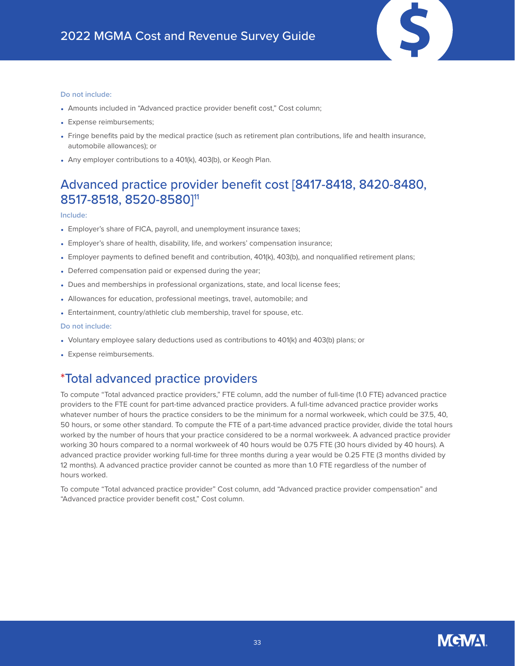#### **Do not include:**

- Amounts included in "Advanced practice provider benefit cost," Cost column;
- Expense reimbursements;
- Fringe benefits paid by the medical practice (such as retirement plan contributions, life and health insurance, automobile allowances); or
- Any employer contributions to a 401(k), 403(b), or Keogh Plan.

### Advanced practice provider benefit cost [8417-8418, 8420-8480, 8517-8518, 8520-8580]11

#### **Include:**

- Employer's share of FICA, payroll, and unemployment insurance taxes;
- Employer's share of health, disability, life, and workers' compensation insurance;
- Employer payments to defined benefit and contribution, 401(k), 403(b), and nonqualified retirement plans;
- Deferred compensation paid or expensed during the year;
- Dues and memberships in professional organizations, state, and local license fees;
- Allowances for education, professional meetings, travel, automobile; and
- Entertainment, country/athletic club membership, travel for spouse, etc.

#### **Do not include:**

- Voluntary employee salary deductions used as contributions to 401(k) and 403(b) plans; or
- Expense reimbursements.

### \*Total advanced practice providers

To compute "Total advanced practice providers," FTE column, add the number of full-time (1.0 FTE) advanced practice providers to the FTE count for part-time advanced practice providers. A full-time advanced practice provider works whatever number of hours the practice considers to be the minimum for a normal workweek, which could be 37.5, 40, 50 hours, or some other standard. To compute the FTE of a part-time advanced practice provider, divide the total hours worked by the number of hours that your practice considered to be a normal workweek. A advanced practice provider working 30 hours compared to a normal workweek of 40 hours would be 0.75 FTE (30 hours divided by 40 hours). A advanced practice provider working full-time for three months during a year would be 0.25 FTE (3 months divided by 12 months). A advanced practice provider cannot be counted as more than 1.0 FTE regardless of the number of hours worked.

To compute "Total advanced practice provider" Cost column, add "Advanced practice provider compensation" and "Advanced practice provider benefit cost," Cost column.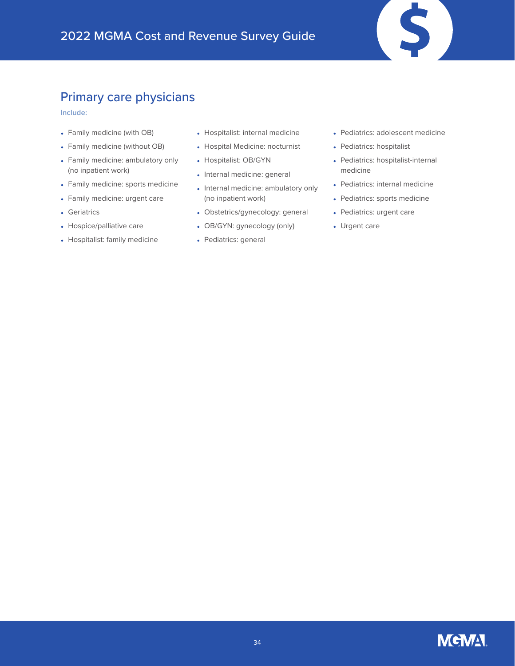### Primary care physicians

**Include:**

- Family medicine (with OB)
- Family medicine (without OB)
- Family medicine: ambulatory only (no inpatient work)
- Family medicine: sports medicine
- Family medicine: urgent care
- Geriatrics
- Hospice/palliative care
- Hospitalist: family medicine
- Hospitalist: internal medicine
- Hospital Medicine: nocturnist
- Hospitalist: OB/GYN
- Internal medicine: general
- Internal medicine: ambulatory only (no inpatient work)
- Obstetrics/gynecology: general
- OB/GYN: gynecology (only)
- Pediatrics: general

• Pediatrics: adolescent medicine

 $\mathbf{\hat{S}}$ 

- Pediatrics: hospitalist
- Pediatrics: hospitalist-internal medicine
- Pediatrics: internal medicine
- Pediatrics: sports medicine
- Pediatrics: urgent care
- Urgent care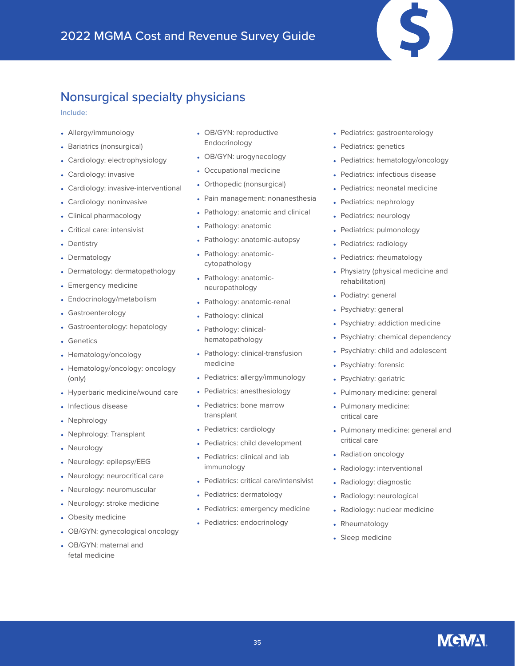### Nonsurgical specialty physicians

**Include:**

- Allergy/immunology
- Bariatrics (nonsurgical)
- Cardiology: electrophysiology
- Cardiology: invasive
- Cardiology: invasive-interventional
- Cardiology: noninvasive
- Clinical pharmacology
- Critical care: intensivist
- Dentistry
- Dermatology
- Dermatology: dermatopathology
- Emergency medicine
- Endocrinology/metabolism
- Gastroenterology
- Gastroenterology: hepatology
- Genetics
- Hematology/oncology
- Hematology/oncology: oncology (only)
- Hyperbaric medicine/wound care
- Infectious disease
- Nephrology
- Nephrology: Transplant
- Neurology
- Neurology: epilepsy/EEG
- Neurology: neurocritical care
- Neurology: neuromuscular
- Neurology: stroke medicine
- Obesity medicine
- OB/GYN: gynecological oncology
- OB/GYN: maternal and fetal medicine
- OB/GYN: reproductive Endocrinology
- OB/GYN: urogynecology
- Occupational medicine
- Orthopedic (nonsurgical)
- Pain management: nonanesthesia
- Pathology: anatomic and clinical
- Pathology: anatomic
- Pathology: anatomic-autopsy
- Pathology: anatomiccytopathology
- Pathology: anatomicneuropathology
- Pathology: anatomic-renal
- Pathology: clinical
- Pathology: clinicalhematopathology
- Pathology: clinical-transfusion medicine
- Pediatrics: allergy/immunology
- Pediatrics: anesthesiology
- Pediatrics: bone marrow transplant
- Pediatrics: cardiology
- Pediatrics: child development
- Pediatrics: clinical and lab immunology
- Pediatrics: critical care/intensivist
- Pediatrics: dermatology
- Pediatrics: emergency medicine
- Pediatrics: endocrinology
- Pediatrics: gastroenterology
- Pediatrics: genetics
- Pediatrics: hematology/oncology
- Pediatrics: infectious disease
- Pediatrics: neonatal medicine
- Pediatrics: nephrology
- Pediatrics: neurology
- Pediatrics: pulmonology
- Pediatrics: radiology
- Pediatrics: rheumatology
- Physiatry (physical medicine and rehabilitation)
- Podiatry: general
- Psychiatry: general
- Psychiatry: addiction medicine
- Psychiatry: chemical dependency
- Psychiatry: child and adolescent
- Psychiatry: forensic
- Psychiatry: geriatric
- Pulmonary medicine: general
- Pulmonary medicine: critical care
- Pulmonary medicine: general and critical care
- Radiation oncology
- Radiology: interventional
- Radiology: diagnostic
- Radiology: neurological
- Radiology: nuclear medicine
- Rheumatology
- Sleep medicine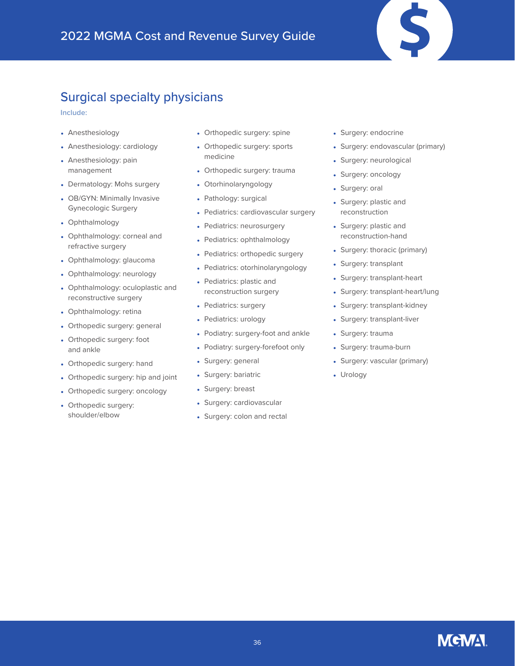### Surgical specialty physicians

**Include:**

- Anesthesiology
- Anesthesiology: cardiology
- Anesthesiology: pain management
- Dermatology: Mohs surgery
- OB/GYN: Minimally Invasive Gynecologic Surgery
- Ophthalmology
- Ophthalmology: corneal and refractive surgery
- Ophthalmology: glaucoma
- Ophthalmology: neurology
- Ophthalmology: oculoplastic and reconstructive surgery
- Ophthalmology: retina
- Orthopedic surgery: general
- Orthopedic surgery: foot and ankle
- Orthopedic surgery: hand
- Orthopedic surgery: hip and joint
- Orthopedic surgery: oncology
- Orthopedic surgery: shoulder/elbow
- Orthopedic surgery: spine
- Orthopedic surgery: sports medicine
- Orthopedic surgery: trauma
- Otorhinolaryngology
- Pathology: surgical
- Pediatrics: cardiovascular surgery
- Pediatrics: neurosurgery
- Pediatrics: ophthalmology
- Pediatrics: orthopedic surgery
- Pediatrics: otorhinolaryngology
- Pediatrics: plastic and reconstruction surgery
- Pediatrics: surgery
- Pediatrics: urology
- Podiatry: surgery-foot and ankle
- Podiatry: surgery-forefoot only
- Surgery: general
- Surgery: bariatric
- Surgery: breast
- Surgery: cardiovascular
- Surgery: colon and rectal
- Surgery: endocrine
- Surgery: endovascular (primary)
- Surgery: neurological
- Surgery: oncology
- Surgery: oral
- Surgery: plastic and reconstruction
- Surgery: plastic and reconstruction-hand
- Surgery: thoracic (primary)
- Surgery: transplant
- Surgery: transplant-heart
- Surgery: transplant-heart/lung
- Surgery: transplant-kidney
- Surgery: transplant-liver
- Surgery: trauma
- Surgery: trauma-burn
- Surgery: vascular (primary)
- Urology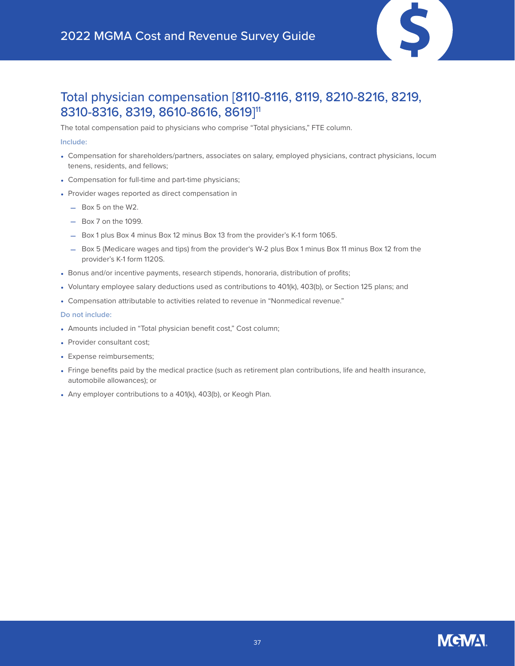

### Total physician compensation [8110-8116, 8119, 8210-8216, 8219, 8310-8316, 8319, 8610-8616, 8619]11

The total compensation paid to physicians who comprise "Total physicians," FTE column.

### **Include:**

- Compensation for shareholders/partners, associates on salary, employed physicians, contract physicians, locum tenens, residents, and fellows;
- Compensation for full-time and part-time physicians;
- Provider wages reported as direct compensation in
	- Box 5 on the W2.
	- Box 7 on the 1099.
	- Box 1 plus Box 4 minus Box 12 minus Box 13 from the provider's K-1 form 1065.
	- Box 5 (Medicare wages and tips) from the provider's W-2 plus Box 1 minus Box 11 minus Box 12 from the provider's K-1 form 1120S.
- Bonus and/or incentive payments, research stipends, honoraria, distribution of profits;
- Voluntary employee salary deductions used as contributions to 401(k), 403(b), or Section 125 plans; and
- Compensation attributable to activities related to revenue in "Nonmedical revenue."

- Amounts included in "Total physician benefit cost," Cost column;
- Provider consultant cost;
- Expense reimbursements;
- Fringe benefits paid by the medical practice (such as retirement plan contributions, life and health insurance, automobile allowances); or
- Any employer contributions to a 401(k), 403(b), or Keogh Plan.

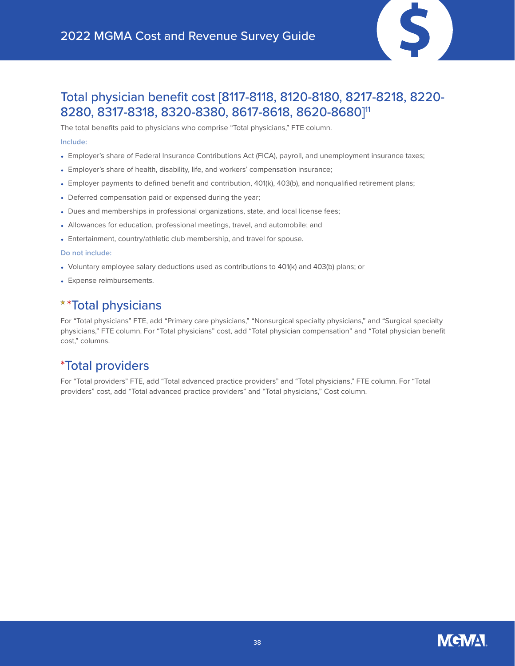

### Total physician benefit cost [8117-8118, 8120-8180, 8217-8218, 8220- 8280, 8317-8318, 8320-8380, 8617-8618, 8620-8680]11

The total benefits paid to physicians who comprise "Total physicians," FTE column. **Include:**

- Employer's share of Federal Insurance Contributions Act (FICA), payroll, and unemployment insurance taxes;
- Employer's share of health, disability, life, and workers' compensation insurance;
- Employer payments to defined benefit and contribution, 401(k), 403(b), and nonqualified retirement plans;
- Deferred compensation paid or expensed during the year;
- Dues and memberships in professional organizations, state, and local license fees;
- Allowances for education, professional meetings, travel, and automobile; and
- Entertainment, country/athletic club membership, and travel for spouse.

#### **Do not include:**

- Voluntary employee salary deductions used as contributions to 401(k) and 403(b) plans; or
- Expense reimbursements.

### \*\*Total physicians

For "Total physicians" FTE, add "Primary care physicians," "Nonsurgical specialty physicians," and "Surgical specialty physicians," FTE column. For "Total physicians" cost, add "Total physician compensation" and "Total physician benefit cost," columns.

### \*Total providers

For "Total providers" FTE, add "Total advanced practice providers" and "Total physicians," FTE column. For "Total providers" cost, add "Total advanced practice providers" and "Total physicians," Cost column.

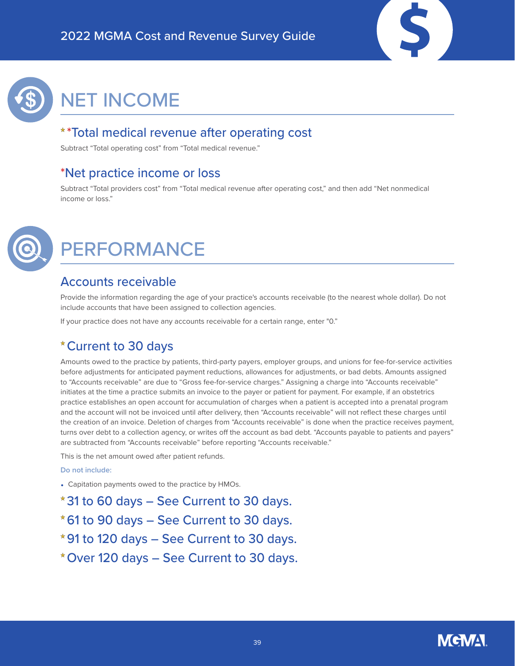



# <span id="page-38-0"></span>NET INCOME

### \*Total medical revenue after operating cost

Subtract "Total operating cost" from "Total medical revenue."

### \*Net practice income or loss

Subtract "Total providers cost" from "Total medical revenue after operating cost," and then add "Net nonmedical income or loss."



## <span id="page-38-1"></span>PERFORMANCE

### Accounts receivable

Provide the information regarding the age of your practice's accounts receivable (to the nearest whole dollar). Do not include accounts that have been assigned to collection agencies.

If your practice does not have any accounts receivable for a certain range, enter "0."

### Current to 30 days

Amounts owed to the practice by patients, third-party payers, employer groups, and unions for fee-for-service activities before adjustments for anticipated payment reductions, allowances for adjustments, or bad debts. Amounts assigned to "Accounts receivable" are due to "Gross fee-for-service charges." Assigning a charge into "Accounts receivable" initiates at the time a practice submits an invoice to the payer or patient for payment. For example, if an obstetrics practice establishes an open account for accumulation of charges when a patient is accepted into a prenatal program and the account will not be invoiced until after delivery, then "Accounts receivable" will not reflect these charges until the creation of an invoice. Deletion of charges from "Accounts receivable" is done when the practice receives payment, turns over debt to a collection agency, or writes off the account as bad debt. "Accounts payable to patients and payers" are subtracted from "Accounts receivable" before reporting "Accounts receivable."

This is the net amount owed after patient refunds.

### **Do not include:**

• Capitation payments owed to the practice by HMOs.

31 to 60 days – See Current to 30 days. 61 to 90 days – See Current to 30 days. 91 to 120 days – See Current to 30 days. Over 120 days – See Current to 30 days.

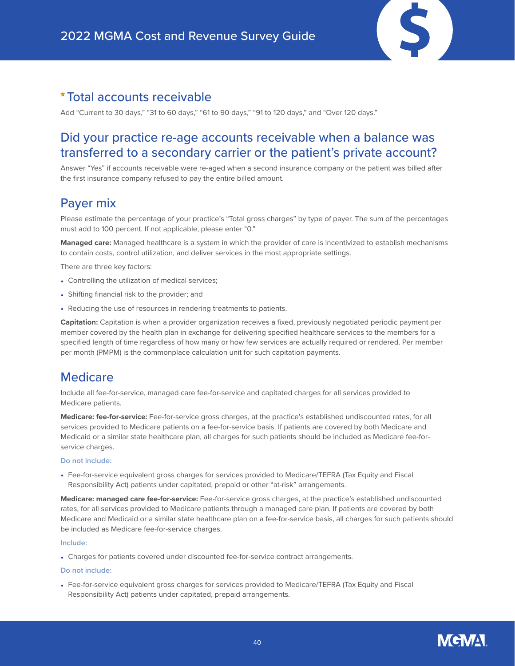### Total accounts receivable

Add "Current to 30 days," "31 to 60 days," "61 to 90 days," "91 to 120 days," and "Over 120 days."

### Did your practice re-age accounts receivable when a balance was transferred to a secondary carrier or the patient's private account?

Answer "Yes" if accounts receivable were re-aged when a second insurance company or the patient was billed after the first insurance company refused to pay the entire billed amount.

### Payer mix

Please estimate the percentage of your practice's "Total gross charges" by type of payer. The sum of the percentages must add to 100 percent. If not applicable, please enter "0."

**Managed care:** Managed healthcare is a system in which the provider of care is incentivized to establish mechanisms to contain costs, control utilization, and deliver services in the most appropriate settings.

There are three key factors:

- Controlling the utilization of medical services;
- Shifting financial risk to the provider; and
- Reducing the use of resources in rendering treatments to patients.

**Capitation:** Capitation is when a provider organization receives a fixed, previously negotiated periodic payment per member covered by the health plan in exchange for delivering specified healthcare services to the members for a specified length of time regardless of how many or how few services are actually required or rendered. Per member per month (PMPM) is the commonplace calculation unit for such capitation payments.

### **Medicare**

Include all fee-for-service, managed care fee-for-service and capitated charges for all services provided to Medicare patients.

**Medicare: fee-for-service:** Fee-for-service gross charges, at the practice's established undiscounted rates, for all services provided to Medicare patients on a fee-for-service basis. If patients are covered by both Medicare and Medicaid or a similar state healthcare plan, all charges for such patients should be included as Medicare fee-forservice charges.

### **Do not include:**

• Fee-for-service equivalent gross charges for services provided to Medicare/TEFRA (Tax Equity and Fiscal Responsibility Act) patients under capitated, prepaid or other "at-risk" arrangements.

**Medicare: managed care fee-for-service:** Fee-for-service gross charges, at the practice's established undiscounted rates, for all services provided to Medicare patients through a managed care plan. If patients are covered by both Medicare and Medicaid or a similar state healthcare plan on a fee-for-service basis, all charges for such patients should be included as Medicare fee-for-service charges.

### **Include:**

• Charges for patients covered under discounted fee-for-service contract arrangements.

#### **Do not include:**

• Fee-for-service equivalent gross charges for services provided to Medicare/TEFRA (Tax Equity and Fiscal Responsibility Act) patients under capitated, prepaid arrangements.

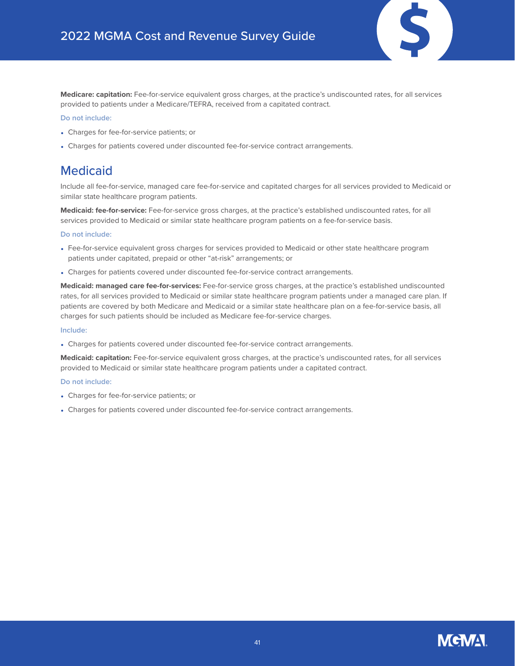

**Medicare: capitation:** Fee-for-service equivalent gross charges, at the practice's undiscounted rates, for all services provided to patients under a Medicare/TEFRA, received from a capitated contract.

#### **Do not include:**

- Charges for fee-for-service patients; or
- Charges for patients covered under discounted fee-for-service contract arrangements.

### Medicaid

Include all fee-for-service, managed care fee-for-service and capitated charges for all services provided to Medicaid or similar state healthcare program patients.

**Medicaid: fee-for-service:** Fee-for-service gross charges, at the practice's established undiscounted rates, for all services provided to Medicaid or similar state healthcare program patients on a fee-for-service basis.

### **Do not include:**

- Fee-for-service equivalent gross charges for services provided to Medicaid or other state healthcare program patients under capitated, prepaid or other "at-risk" arrangements; or
- Charges for patients covered under discounted fee-for-service contract arrangements.

**Medicaid: managed care fee-for-services:** Fee-for-service gross charges, at the practice's established undiscounted rates, for all services provided to Medicaid or similar state healthcare program patients under a managed care plan. If patients are covered by both Medicare and Medicaid or a similar state healthcare plan on a fee-for-service basis, all charges for such patients should be included as Medicare fee-for-service charges.

### **Include:**

• Charges for patients covered under discounted fee-for-service contract arrangements.

**Medicaid: capitation:** Fee-for-service equivalent gross charges, at the practice's undiscounted rates, for all services provided to Medicaid or similar state healthcare program patients under a capitated contract.

- Charges for fee-for-service patients; or
- Charges for patients covered under discounted fee-for-service contract arrangements.

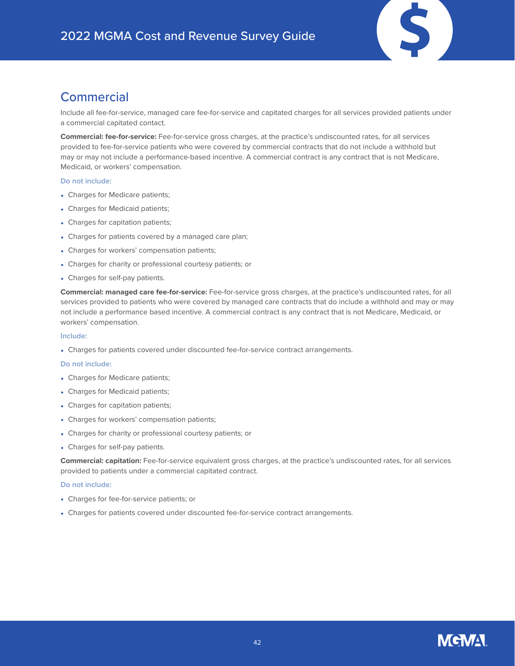

### **Commercial**

Include all fee-for-service, managed care fee-for-service and capitated charges for all services provided patients under a commercial capitated contact.

**Commercial: fee-for-service:** Fee-for-service gross charges, at the practice's undiscounted rates, for all services provided to fee-for-service patients who were covered by commercial contracts that do not include a withhold but may or may not include a performance-based incentive. A commercial contract is any contract that is not Medicare, Medicaid, or workers' compensation.

### **Do not include:**

- Charges for Medicare patients;
- Charges for Medicaid patients;
- Charges for capitation patients;
- Charges for patients covered by a managed care plan;
- Charges for workers' compensation patients;
- Charges for charity or professional courtesy patients; or
- Charges for self-pay patients.

**Commercial: managed care fee-for-service:** Fee-for-service gross charges, at the practice's undiscounted rates, for all services provided to patients who were covered by managed care contracts that do include a withhold and may or may not include a performance based incentive. A commercial contract is any contract that is not Medicare, Medicaid, or workers' compensation.

### **Include:**

• Charges for patients covered under discounted fee-for-service contract arrangements.

### **Do not include:**

- Charges for Medicare patients;
- Charges for Medicaid patients;
- Charges for capitation patients;
- Charges for workers' compensation patients;
- Charges for charity or professional courtesy patients; or
- Charges for self-pay patients.

**Commercial: capitation:** Fee-for-service equivalent gross charges, at the practice's undiscounted rates, for all services provided to patients under a commercial capitated contract.

- Charges for fee-for-service patients; or
- Charges for patients covered under discounted fee-for-service contract arrangements.

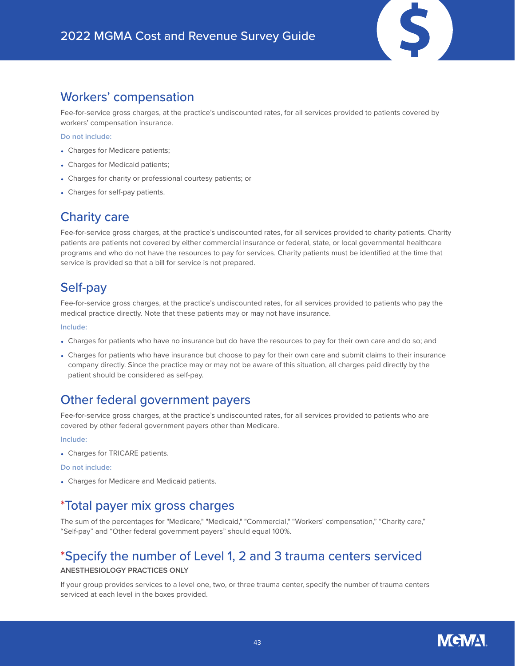

Fee-for-service gross charges, at the practice's undiscounted rates, for all services provided to patients covered by workers' compensation insurance.

**Do not include:**

- Charges for Medicare patients;
- Charges for Medicaid patients;
- Charges for charity or professional courtesy patients; or
- Charges for self-pay patients.

### Charity care

Fee-for-service gross charges, at the practice's undiscounted rates, for all services provided to charity patients. Charity patients are patients not covered by either commercial insurance or federal, state, or local governmental healthcare programs and who do not have the resources to pay for services. Charity patients must be identified at the time that service is provided so that a bill for service is not prepared.

### Self-pay

Fee-for-service gross charges, at the practice's undiscounted rates, for all services provided to patients who pay the medical practice directly. Note that these patients may or may not have insurance.

**Include:**

- Charges for patients who have no insurance but do have the resources to pay for their own care and do so; and
- Charges for patients who have insurance but choose to pay for their own care and submit claims to their insurance company directly. Since the practice may or may not be aware of this situation, all charges paid directly by the patient should be considered as self-pay.

### Other federal government payers

Fee-for-service gross charges, at the practice's undiscounted rates, for all services provided to patients who are covered by other federal government payers other than Medicare.

**Include:**

• Charges for TRICARE patients.

**Do not include:**

• Charges for Medicare and Medicaid patients.

### \*Total payer mix gross charges

The sum of the percentages for "Medicare," "Medicaid," "Commercial," "Workers' compensation," "Charity care," "Self-pay" and "Other federal government payers" should equal 100%.

### \*Specify the number of Level 1, 2 and 3 trauma centers serviced

### **ANESTHESIOLOGY PRACTICES ONLY**

If your group provides services to a level one, two, or three trauma center, specify the number of trauma centers serviced at each level in the boxes provided.

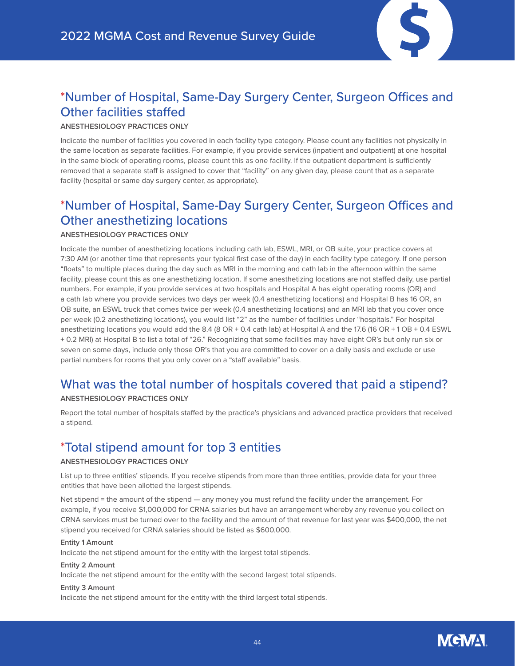

### \*Number of Hospital, Same-Day Surgery Center, Surgeon Offices and Other facilities staffed

### **ANESTHESIOLOGY PRACTICES ONLY**

Indicate the number of facilities you covered in each facility type category. Please count any facilities not physically in the same location as separate facilities. For example, if you provide services (inpatient and outpatient) at one hospital in the same block of operating rooms, please count this as one facility. If the outpatient department is sufficiently removed that a separate staff is assigned to cover that "facility" on any given day, please count that as a separate facility (hospital or same day surgery center, as appropriate).

## \*Number of Hospital, Same-Day Surgery Center, Surgeon Offices and Other anesthetizing locations

### **ANESTHESIOLOGY PRACTICES ONLY**

Indicate the number of anesthetizing locations including cath lab, ESWL, MRI, or OB suite, your practice covers at 7:30 AM (or another time that represents your typical first case of the day) in each facility type category. If one person "floats" to multiple places during the day such as MRI in the morning and cath lab in the afternoon within the same facility, please count this as one anesthetizing location. If some anesthetizing locations are not staffed daily, use partial numbers. For example, if you provide services at two hospitals and Hospital A has eight operating rooms (OR) and a cath lab where you provide services two days per week (0.4 anesthetizing locations) and Hospital B has 16 OR, an OB suite, an ESWL truck that comes twice per week (0.4 anesthetizing locations) and an MRI lab that you cover once per week (0.2 anesthetizing locations), you would list "2" as the number of facilities under "hospitals." For hospital anesthetizing locations you would add the 8.4 (8 OR + 0.4 cath lab) at Hospital A and the 17.6 (16 OR + 1 OB + 0.4 ESWL + 0.2 MRI) at Hospital B to list a total of "26." Recognizing that some facilities may have eight OR's but only run six or seven on some days, include only those OR's that you are committed to cover on a daily basis and exclude or use partial numbers for rooms that you only cover on a "staff available" basis.

## What was the total number of hospitals covered that paid a stipend?

### **ANESTHESIOLOGY PRACTICES ONLY**

Report the total number of hospitals staffed by the practice's physicians and advanced practice providers that received a stipend.

### \*Total stipend amount for top 3 entities

### **ANESTHESIOLOGY PRACTICES ONLY**

List up to three entities' stipends. If you receive stipends from more than three entities, provide data for your three entities that have been allotted the largest stipends.

Net stipend = the amount of the stipend — any money you must refund the facility under the arrangement. For example, if you receive \$1,000,000 for CRNA salaries but have an arrangement whereby any revenue you collect on CRNA services must be turned over to the facility and the amount of that revenue for last year was \$400,000, the net stipend you received for CRNA salaries should be listed as \$600,000.

### **Entity 1 Amount**

Indicate the net stipend amount for the entity with the largest total stipends.

### **Entity 2 Amount**

Indicate the net stipend amount for the entity with the second largest total stipends.

### **Entity 3 Amount**

Indicate the net stipend amount for the entity with the third largest total stipends.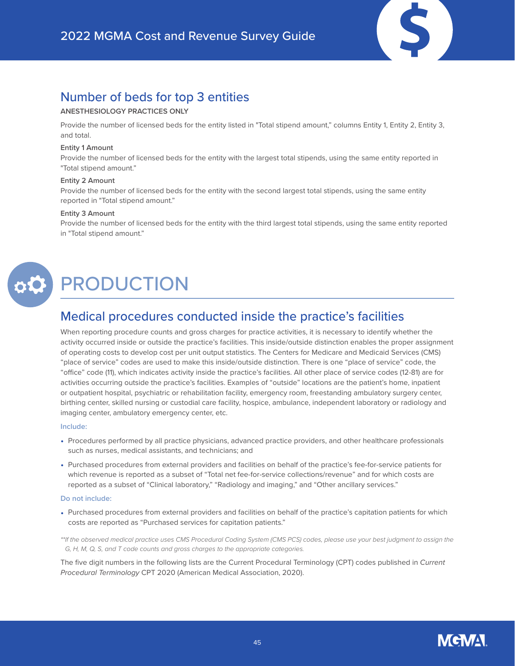### Number of beds for top 3 entities

### **ANESTHESIOLOGY PRACTICES ONLY**

Provide the number of licensed beds for the entity listed in "Total stipend amount," columns Entity 1, Entity 2, Entity 3, and total.

#### **Entity 1 Amount**

Provide the number of licensed beds for the entity with the largest total stipends, using the same entity reported in "Total stipend amount."

#### **Entity 2 Amount**

Provide the number of licensed beds for the entity with the second largest total stipends, using the same entity reported in "Total stipend amount."

#### **Entity 3 Amount**

Provide the number of licensed beds for the entity with the third largest total stipends, using the same entity reported in "Total stipend amount."



# <span id="page-44-0"></span>PRODUCTION

### Medical procedures conducted inside the practice's facilities

When reporting procedure counts and gross charges for practice activities, it is necessary to identify whether the activity occurred inside or outside the practice's facilities. This inside/outside distinction enables the proper assignment of operating costs to develop cost per unit output statistics. The Centers for Medicare and Medicaid Services (CMS) "place of service" codes are used to make this inside/outside distinction. There is one "place of service" code, the "office" code (11), which indicates activity inside the practice's facilities. All other place of service codes (12-81) are for activities occurring outside the practice's facilities. Examples of "outside" locations are the patient's home, inpatient or outpatient hospital, psychiatric or rehabilitation facility, emergency room, freestanding ambulatory surgery center, birthing center, skilled nursing or custodial care facility, hospice, ambulance, independent laboratory or radiology and imaging center, ambulatory emergency center, etc.

### **Include:**

- Procedures performed by all practice physicians, advanced practice providers, and other healthcare professionals such as nurses, medical assistants, and technicians; and
- Purchased procedures from external providers and facilities on behalf of the practice's fee-for-service patients for which revenue is reported as a subset of "Total net fee-for-service collections/revenue" and for which costs are reported as a subset of "Clinical laboratory," "Radiology and imaging," and "Other ancillary services."

#### **Do not include:**

• Purchased procedures from external providers and facilities on behalf of the practice's capitation patients for which costs are reported as "Purchased services for capitation patients."

*\*\*If the observed medical practice uses CMS Procedural Coding System (CMS PCS) codes, please use your best judgment to assign the G, H, M, Q, S, and T code counts and gross charges to the appropriate categories.* 

The five digit numbers in the following lists are the Current Procedural Terminology (CPT) codes published in *Current Procedural Terminology* CPT 2020 (American Medical Association, 2020).

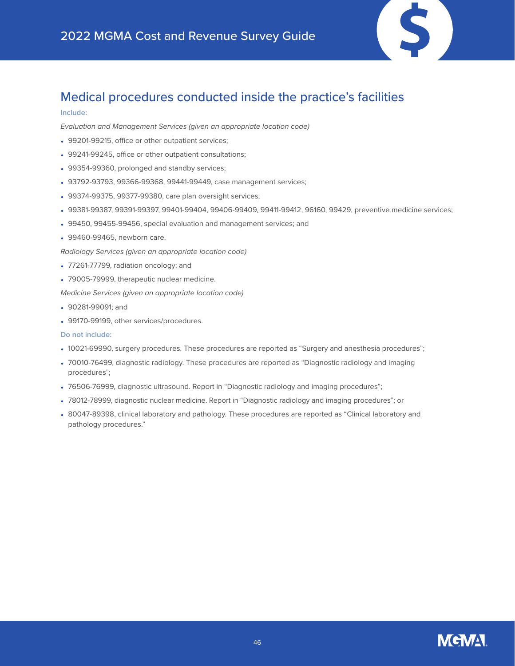

### Medical procedures conducted inside the practice's facilities

#### **Include:**

*Evaluation and Management Services (given an appropriate location code)*

- 99201-99215, office or other outpatient services;
- 99241-99245, office or other outpatient consultations;
- 99354-99360, prolonged and standby services;
- 93792-93793, 99366-99368, 99441-99449, case management services;
- 99374-99375, 99377-99380, care plan oversight services;
- 99381-99387, 99391-99397, 99401-99404, 99406-99409, 99411-99412, 96160, 99429, preventive medicine services;
- 99450, 99455-99456, special evaluation and management services; and
- 99460-99465, newborn care.

*Radiology Services (given an appropriate location code)*

- 77261-77799, radiation oncology; and
- 79005-79999, therapeutic nuclear medicine.

*Medicine Services (given an appropriate location code)*

- 90281-99091: and
- 99170-99199, other services/procedures.

- 10021-69990, surgery procedures. These procedures are reported as "Surgery and anesthesia procedures";
- 70010-76499, diagnostic radiology. These procedures are reported as "Diagnostic radiology and imaging procedures";
- 76506-76999, diagnostic ultrasound. Report in "Diagnostic radiology and imaging procedures";
- 78012-78999, diagnostic nuclear medicine. Report in "Diagnostic radiology and imaging procedures"; or
- 80047-89398, clinical laboratory and pathology. These procedures are reported as "Clinical laboratory and pathology procedures."

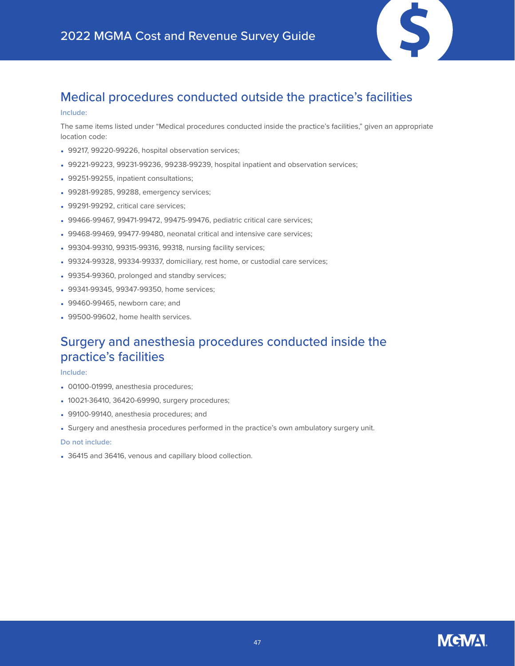

## Medical procedures conducted outside the practice's facilities

#### **Include:**

The same items listed under "Medical procedures conducted inside the practice's facilities," given an appropriate location code:

- 99217, 99220-99226, hospital observation services;
- 99221-99223, 99231-99236, 99238-99239, hospital inpatient and observation services;
- 99251-99255, inpatient consultations;
- 99281-99285, 99288, emergency services;
- 99291-99292, critical care services;
- 99466-99467, 99471-99472, 99475-99476, pediatric critical care services;
- 99468-99469, 99477-99480, neonatal critical and intensive care services;
- 99304-99310, 99315-99316, 99318, nursing facility services;
- 99324-99328, 99334-99337, domiciliary, rest home, or custodial care services;
- 99354-99360, prolonged and standby services;
- 99341-99345, 99347-99350, home services;
- 99460-99465, newborn care; and
- 99500-99602, home health services.

### Surgery and anesthesia procedures conducted inside the practice's facilities

#### **Include:**

- 00100-01999, anesthesia procedures;
- 10021-36410, 36420-69990, surgery procedures;
- 99100-99140, anesthesia procedures; and
- Surgery and anesthesia procedures performed in the practice's own ambulatory surgery unit.

#### **Do not include:**

• 36415 and 36416, venous and capillary blood collection.

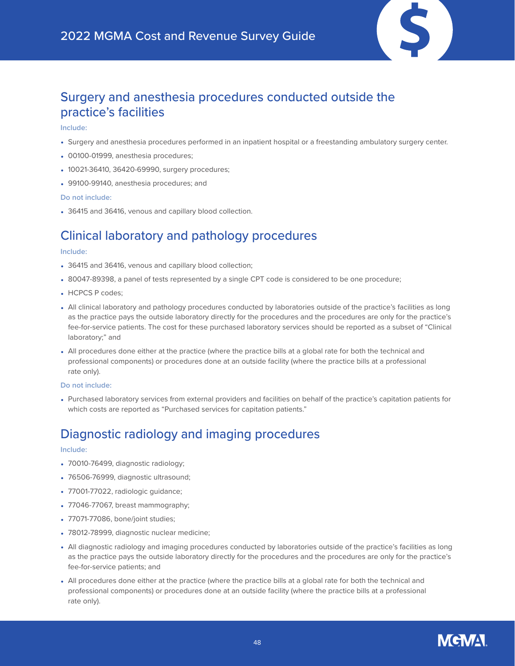

### Surgery and anesthesia procedures conducted outside the practice's facilities

#### **Include:**

- Surgery and anesthesia procedures performed in an inpatient hospital or a freestanding ambulatory surgery center.
- 00100-01999, anesthesia procedures;
- 10021-36410, 36420-69990, surgery procedures;
- 99100-99140, anesthesia procedures; and

### **Do not include:**

• 36415 and 36416, venous and capillary blood collection.

### Clinical laboratory and pathology procedures

#### **Include:**

- 36415 and 36416, venous and capillary blood collection;
- 80047-89398, a panel of tests represented by a single CPT code is considered to be one procedure;
- HCPCS P codes:
- All clinical laboratory and pathology procedures conducted by laboratories outside of the practice's facilities as long as the practice pays the outside laboratory directly for the procedures and the procedures are only for the practice's fee-for-service patients. The cost for these purchased laboratory services should be reported as a subset of "Clinical laboratory;" and
- All procedures done either at the practice (where the practice bills at a global rate for both the technical and professional components) or procedures done at an outside facility (where the practice bills at a professional rate only).

#### **Do not include:**

• Purchased laboratory services from external providers and facilities on behalf of the practice's capitation patients for which costs are reported as "Purchased services for capitation patients."

### Diagnostic radiology and imaging procedures

### **Include:**

- 70010-76499, diagnostic radiology;
- 76506-76999, diagnostic ultrasound;
- 77001-77022, radiologic guidance;
- 77046-77067, breast mammography;
- 77071-77086, bone/joint studies;
- 78012-78999, diagnostic nuclear medicine;
- All diagnostic radiology and imaging procedures conducted by laboratories outside of the practice's facilities as long as the practice pays the outside laboratory directly for the procedures and the procedures are only for the practice's fee-for-service patients; and
- All procedures done either at the practice (where the practice bills at a global rate for both the technical and professional components) or procedures done at an outside facility (where the practice bills at a professional rate only).

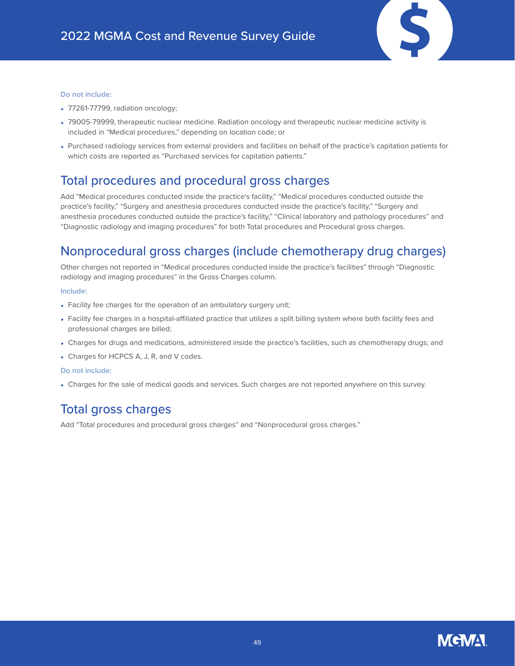

- 77261-77799, radiation oncology;
- 79005-79999, therapeutic nuclear medicine. Radiation oncology and therapeutic nuclear medicine activity is included in "Medical procedures," depending on location code; or
- Purchased radiology services from external providers and facilities on behalf of the practice's capitation patients for which costs are reported as "Purchased services for capitation patients."

### Total procedures and procedural gross charges

Add "Medical procedures conducted inside the practice's facility," "Medical procedures conducted outside the practice's facility," "Surgery and anesthesia procedures conducted inside the practice's facility," "Surgery and anesthesia procedures conducted outside the practice's facility," "Clinical laboratory and pathology procedures" and "Diagnostic radiology and imaging procedures" for both Total procedures and Procedural gross charges.

### Nonprocedural gross charges (include chemotherapy drug charges)

Other charges not reported in "Medical procedures conducted inside the practice's facilities" through "Diagnostic radiology and imaging procedures" in the Gross Charges column.

#### **Include:**

- Facility fee charges for the operation of an ambulatory surgery unit;
- Facility fee charges in a hospital-affiliated practice that utilizes a split billing system where both facility fees and professional charges are billed;
- Charges for drugs and medications, administered inside the practice's facilities, such as chemotherapy drugs; and
- Charges for HCPCS A, J, R, and V codes.

#### **Do not include:**

• Charges for the sale of medical goods and services. Such charges are not reported anywhere on this survey.

### Total gross charges

Add "Total procedures and procedural gross charges" and "Nonprocedural gross charges."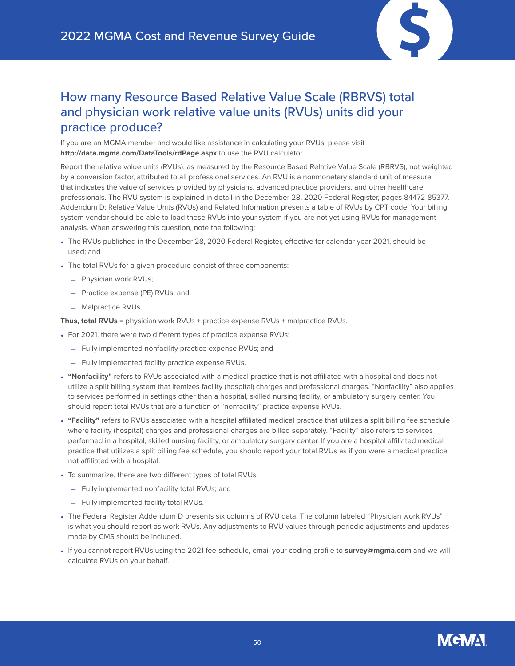

### How many Resource Based Relative Value Scale (RBRVS) total and physician work relative value units (RVUs) units did your practice produce?

If you are an MGMA member and would like assistance in calculating your RVUs, please visit **<http://data.mgma.com/DataTools/rdPage.aspx>** to use the RVU calculator.

Report the relative value units (RVUs), as measured by the Resource Based Relative Value Scale (RBRVS), not weighted by a conversion factor, attributed to all professional services. An RVU is a nonmonetary standard unit of measure that indicates the value of services provided by physicians, advanced practice providers, and other healthcare professionals. The RVU system is explained in detail in the December 28, 2020 Federal Register, pages 84472-85377. Addendum D: Relative Value Units (RVUs) and Related Information presents a table of RVUs by CPT code. Your billing system vendor should be able to load these RVUs into your system if you are not yet using RVUs for management analysis. When answering this question, note the following:

- The RVUs published in the December 28, 2020 Federal Register, effective for calendar year 2021, should be used; and
- The total RVUs for a given procedure consist of three components:
	- Physician work RVUs;
	- Practice expense (PE) RVUs; and
	- Malpractice RVUs.

**Thus, total RVUs =** physician work RVUs + practice expense RVUs + malpractice RVUs.

- For 2021, there were two different types of practice expense RVUs:
	- Fully implemented nonfacility practice expense RVUs; and
	- Fully implemented facility practice expense RVUs.
- **"Nonfacility"** refers to RVUs associated with a medical practice that is not affiliated with a hospital and does not utilize a split billing system that itemizes facility (hospital) charges and professional charges. "Nonfacility" also applies to services performed in settings other than a hospital, skilled nursing facility, or ambulatory surgery center. You should report total RVUs that are a function of "nonfacility" practice expense RVUs.
- **"Facility"** refers to RVUs associated with a hospital affiliated medical practice that utilizes a split billing fee schedule where facility (hospital) charges and professional charges are billed separately. "Facility" also refers to services performed in a hospital, skilled nursing facility, or ambulatory surgery center. If you are a hospital affiliated medical practice that utilizes a split billing fee schedule, you should report your total RVUs as if you were a medical practice not affiliated with a hospital.
- To summarize, there are two different types of total RVUs:
	- Fully implemented nonfacility total RVUs; and
	- Fully implemented facility total RVUs.
- The Federal Register Addendum D presents six columns of RVU data. The column labeled "Physician work RVUs" is what you should report as work RVUs. Any adjustments to RVU values through periodic adjustments and updates made by CMS should be included.
- If you cannot report RVUs using the 2021 fee-schedule, email your coding profile to **[survey@mgma.com](mailto:survey%40mgma.com?subject=)** and we will calculate RVUs on your behalf.

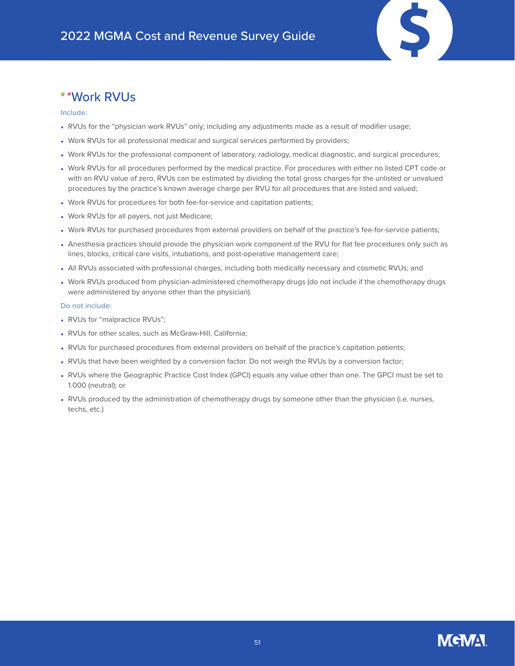### \*Work RVUs

#### **Include:**

- RVUs for the "physician work RVUs" only; including any adjustments made as a result of modifier usage;
- Work RVUs for all professional medical and surgical services performed by providers;
- Work RVUs for the professional component of laboratory, radiology, medical diagnostic, and surgical procedures;
- Work RVUs for all procedures performed by the medical practice. For procedures with either no listed CPT code or with an RVU value of zero, RVUs can be estimated by dividing the total gross charges for the unlisted or unvalued procedures by the practice's known average charge per RVU for all procedures that are listed and valued;
- Work RVUs for procedures for both fee-for-service and capitation patients;
- Work RVUs for all payers, not just Medicare;
- Work RVUs for purchased procedures from external providers on behalf of the practice's fee-for-service patients;
- Anesthesia practices should provide the physician work component of the RVU for flat fee procedures only such as lines, blocks, critical care visits, intubations, and post-operative management care;
- All RVUs associated with professional charges, including both medically necessary and cosmetic RVUs; and
- Work RVUs produced from physician-administered chemotherapy drugs (do not include if the chemotherapy drugs were administered by anyone other than the physician).

- RVUs for "malpractice RVUs";
- RVUs for other scales, such as McGraw-Hill, California;
- RVUs for purchased procedures from external providers on behalf of the practice's capitation patients;
- RVUs that have been weighted by a conversion factor. Do not weigh the RVUs by a conversion factor;
- RVUs where the Geographic Practice Cost Index (GPCI) equals any value other than one. The GPCI must be set to 1.000 (neutral); or
- RVUs produced by the administration of chemotherapy drugs by someone other than the physician (i.e. nurses, techs, etc.)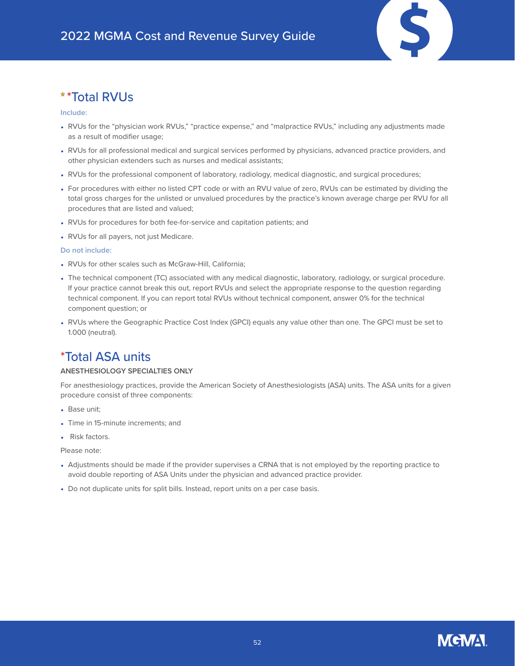

#### **Include:**

- RVUs for the "physician work RVUs," "practice expense," and "malpractice RVUs," including any adjustments made as a result of modifier usage;
- RVUs for all professional medical and surgical services performed by physicians, advanced practice providers, and other physician extenders such as nurses and medical assistants;
- RVUs for the professional component of laboratory, radiology, medical diagnostic, and surgical procedures;
- For procedures with either no listed CPT code or with an RVU value of zero, RVUs can be estimated by dividing the total gross charges for the unlisted or unvalued procedures by the practice's known average charge per RVU for all procedures that are listed and valued;
- RVUs for procedures for both fee-for-service and capitation patients; and
- RVUs for all payers, not just Medicare.

#### **Do not include:**

- RVUs for other scales such as McGraw-Hill, California;
- The technical component (TC) associated with any medical diagnostic, laboratory, radiology, or surgical procedure. If your practice cannot break this out, report RVUs and select the appropriate response to the question regarding technical component. If you can report total RVUs without technical component, answer 0% for the technical component question; or
- RVUs where the Geographic Practice Cost Index (GPCI) equals any value other than one. The GPCI must be set to 1.000 (neutral).

### \*Total ASA units

### **ANESTHESIOLOGY SPECIALTIES ONLY**

For anesthesiology practices, provide the American Society of Anesthesiologists (ASA) units. The ASA units for a given procedure consist of three components:

- Base unit;
- Time in 15-minute increments; and
- Risk factors.

Please note:

- Adjustments should be made if the provider supervises a CRNA that is not employed by the reporting practice to avoid double reporting of ASA Units under the physician and advanced practice provider.
- Do not duplicate units for split bills. Instead, report units on a per case basis.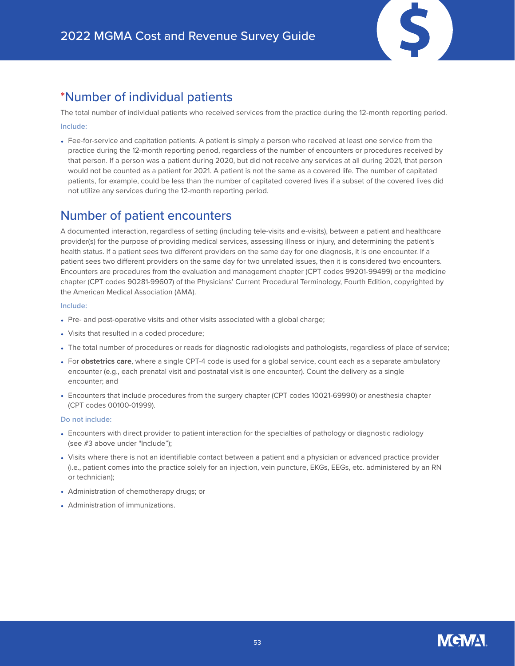### \*Number of individual patients

The total number of individual patients who received services from the practice during the 12-month reporting period.

### **Include:**

• Fee-for-service and capitation patients. A patient is simply a person who received at least one service from the practice during the 12-month reporting period, regardless of the number of encounters or procedures received by that person. If a person was a patient during 2020, but did not receive any services at all during 2021, that person would not be counted as a patient for 2021. A patient is not the same as a covered life. The number of capitated patients, for example, could be less than the number of capitated covered lives if a subset of the covered lives did not utilize any services during the 12-month reporting period.

### Number of patient encounters

A documented interaction, regardless of setting (including tele-visits and e-visits), between a patient and healthcare provider(s) for the purpose of providing medical services, assessing illness or injury, and determining the patient's health status. If a patient sees two different providers on the same day for one diagnosis, it is one encounter. If a patient sees two different providers on the same day for two unrelated issues, then it is considered two encounters. Encounters are procedures from the evaluation and management chapter (CPT codes 99201-99499) or the medicine chapter (CPT codes 90281-99607) of the Physicians' Current Procedural Terminology, Fourth Edition, copyrighted by the American Medical Association (AMA).

### **Include:**

- Pre- and post-operative visits and other visits associated with a global charge;
- Visits that resulted in a coded procedure;
- The total number of procedures or reads for diagnostic radiologists and pathologists, regardless of place of service;
- For **obstetrics care**, where a single CPT-4 code is used for a global service, count each as a separate ambulatory encounter (e.g., each prenatal visit and postnatal visit is one encounter). Count the delivery as a single encounter; and
- Encounters that include procedures from the surgery chapter (CPT codes 10021-69990) or anesthesia chapter (CPT codes 00100-01999).

- Encounters with direct provider to patient interaction for the specialties of pathology or diagnostic radiology (see #3 above under "Include");
- Visits where there is not an identifiable contact between a patient and a physician or advanced practice provider (i.e., patient comes into the practice solely for an injection, vein puncture, EKGs, EEGs, etc. administered by an RN or technician);
- Administration of chemotherapy drugs; or
- Administration of immunizations.

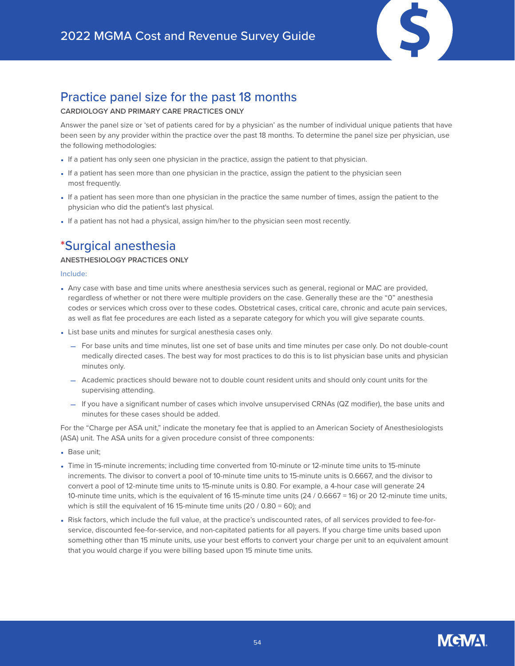

### Practice panel size for the past 18 months

### **CARDIOLOGY AND PRIMARY CARE PRACTICES ONLY**

Answer the panel size or 'set of patients cared for by a physician' as the number of individual unique patients that have been seen by any provider within the practice over the past 18 months. To determine the panel size per physician, use the following methodologies:

- If a patient has only seen one physician in the practice, assign the patient to that physician.
- If a patient has seen more than one physician in the practice, assign the patient to the physician seen most frequently.
- If a patient has seen more than one physician in the practice the same number of times, assign the patient to the physician who did the patient's last physical.
- If a patient has not had a physical, assign him/her to the physician seen most recently.

### \*Surgical anesthesia

### **ANESTHESIOLOGY PRACTICES ONLY**

**Include:**

- Any case with base and time units where anesthesia services such as general, regional or MAC are provided, regardless of whether or not there were multiple providers on the case. Generally these are the "0" anesthesia codes or services which cross over to these codes. Obstetrical cases, critical care, chronic and acute pain services, as well as flat fee procedures are each listed as a separate category for which you will give separate counts.
- List base units and minutes for surgical anesthesia cases only.
	- For base units and time minutes, list one set of base units and time minutes per case only. Do not double-count medically directed cases. The best way for most practices to do this is to list physician base units and physician minutes only.
	- Academic practices should beware not to double count resident units and should only count units for the supervising attending.
	- If you have a significant number of cases which involve unsupervised CRNAs (QZ modifier), the base units and minutes for these cases should be added.

For the "Charge per ASA unit," indicate the monetary fee that is applied to an American Society of Anesthesiologists (ASA) unit. The ASA units for a given procedure consist of three components:

- Base unit;
- Time in 15-minute increments; including time converted from 10-minute or 12-minute time units to 15-minute increments. The divisor to convert a pool of 10-minute time units to 15-minute units is 0.6667, and the divisor to convert a pool of 12-minute time units to 15-minute units is 0.80. For example, a 4-hour case will generate 24 10-minute time units, which is the equivalent of 16 15-minute time units (24 / 0.6667 = 16) or 20 12-minute time units, which is still the equivalent of 16 15-minute time units (20 / 0.80 = 60); and
- Risk factors, which include the full value, at the practice's undiscounted rates, of all services provided to fee-forservice, discounted fee-for-service, and non-capitated patients for all payers. If you charge time units based upon something other than 15 minute units, use your best efforts to convert your charge per unit to an equivalent amount that you would charge if you were billing based upon 15 minute time units.

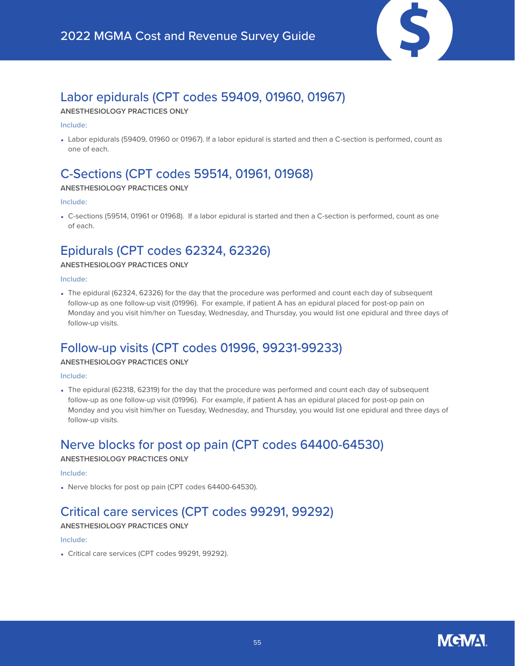

### Labor epidurals (CPT codes 59409, 01960, 01967)

### **ANESTHESIOLOGY PRACTICES ONLY**

#### **Include:**

• Labor epidurals (59409, 01960 or 01967). If a labor epidural is started and then a C-section is performed, count as one of each.

### C-Sections (CPT codes 59514, 01961, 01968)

### **ANESTHESIOLOGY PRACTICES ONLY**

### **Include:**

• C-sections (59514, 01961 or 01968). If a labor epidural is started and then a C-section is performed, count as one of each.

### Epidurals (CPT codes 62324, 62326)

### **ANESTHESIOLOGY PRACTICES ONLY**

### **Include:**

• The epidural (62324, 62326) for the day that the procedure was performed and count each day of subsequent follow-up as one follow-up visit (01996). For example, if patient A has an epidural placed for post-op pain on Monday and you visit him/her on Tuesday, Wednesday, and Thursday, you would list one epidural and three days of follow-up visits.

### Follow-up visits (CPT codes 01996, 99231-99233)

### **ANESTHESIOLOGY PRACTICES ONLY**

### **Include:**

• The epidural (62318, 62319) for the day that the procedure was performed and count each day of subsequent follow-up as one follow-up visit (01996). For example, if patient A has an epidural placed for post-op pain on Monday and you visit him/her on Tuesday, Wednesday, and Thursday, you would list one epidural and three days of follow-up visits.

### Nerve blocks for post op pain (CPT codes 64400-64530)

### **ANESTHESIOLOGY PRACTICES ONLY**

### **Include:**

• Nerve blocks for post op pain (CPT codes 64400-64530).

### Critical care services (CPT codes 99291, 99292)

### **ANESTHESIOLOGY PRACTICES ONLY**

### **Include:**

• Critical care services (CPT codes 99291, 99292).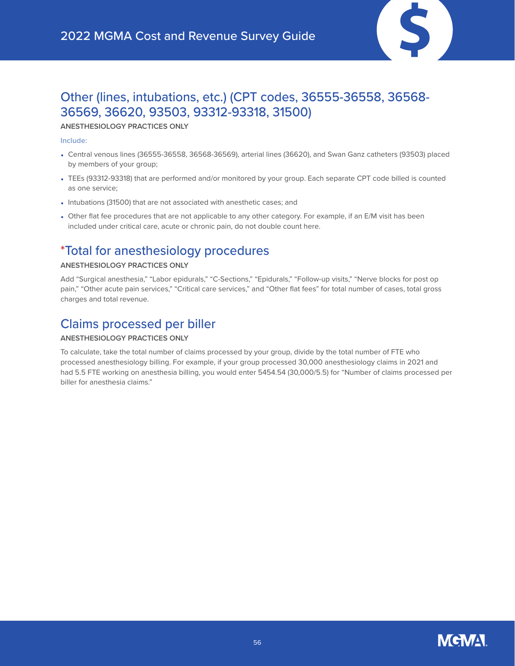

### Other (lines, intubations, etc.) (CPT codes, 36555-36558, 36568- 36569, 36620, 93503, 93312-93318, 31500)

### **ANESTHESIOLOGY PRACTICES ONLY**

### **Include:**

- Central venous lines (36555-36558, 36568-36569), arterial lines (36620), and Swan Ganz catheters (93503) placed by members of your group;
- TEEs (93312-93318) that are performed and/or monitored by your group. Each separate CPT code billed is counted as one service;
- Intubations (31500) that are not associated with anesthetic cases; and
- Other flat fee procedures that are not applicable to any other category. For example, if an E/M visit has been included under critical care, acute or chronic pain, do not double count here.

### \*Total for anesthesiology procedures

### **ANESTHESIOLOGY PRACTICES ONLY**

Add "Surgical anesthesia," "Labor epidurals," "C-Sections," "Epidurals," "Follow-up visits," "Nerve blocks for post op pain," "Other acute pain services," "Critical care services," and "Other flat fees" for total number of cases, total gross charges and total revenue.

### Claims processed per biller

### **ANESTHESIOLOGY PRACTICES ONLY**

To calculate, take the total number of claims processed by your group, divide by the total number of FTE who processed anesthesiology billing. For example, if your group processed 30,000 anesthesiology claims in 2021 and had 5.5 FTE working on anesthesia billing, you would enter 5454.54 (30,000/5.5) for "Number of claims processed per biller for anesthesia claims."

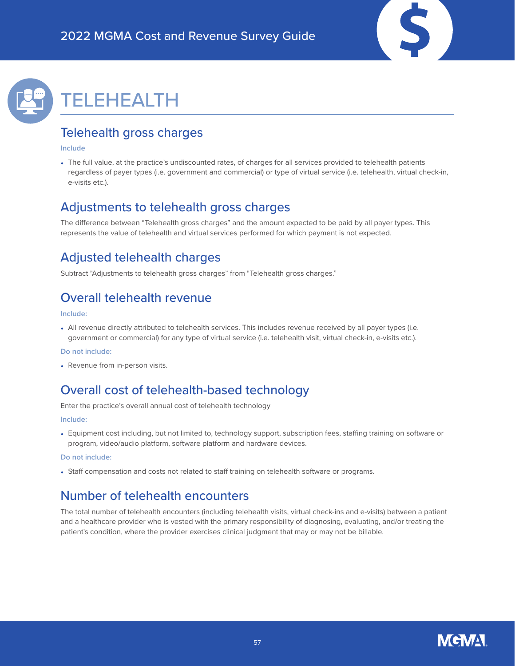



## <span id="page-56-0"></span>TELEHEALTH

### Telehealth gross charges

### **Include**

• The full value, at the practice's undiscounted rates, of charges for all services provided to telehealth patients regardless of payer types (i.e. government and commercial) or type of virtual service (i.e. telehealth, virtual check-in, e-visits etc.).

### Adjustments to telehealth gross charges

The difference between "Telehealth gross charges" and the amount expected to be paid by all payer types. This represents the value of telehealth and virtual services performed for which payment is not expected.

### Adjusted telehealth charges

Subtract "Adjustments to telehealth gross charges" from "Telehealth gross charges."

### Overall telehealth revenue

### **Include:**

• All revenue directly attributed to telehealth services. This includes revenue received by all payer types (i.e. government or commercial) for any type of virtual service (i.e. telehealth visit, virtual check-in, e-visits etc.).

#### **Do not include:**

• Revenue from in-person visits.

### Overall cost of telehealth-based technology

Enter the practice's overall annual cost of telehealth technology

### **Include:**

• Equipment cost including, but not limited to, technology support, subscription fees, staffing training on software or program, video/audio platform, software platform and hardware devices.

### **Do not include:**

• Staff compensation and costs not related to staff training on telehealth software or programs.

### Number of telehealth encounters

The total number of telehealth encounters (including telehealth visits, virtual check-ins and e-visits) between a patient and a healthcare provider who is vested with the primary responsibility of diagnosing, evaluating, and/or treating the patient's condition, where the provider exercises clinical judgment that may or may not be billable.